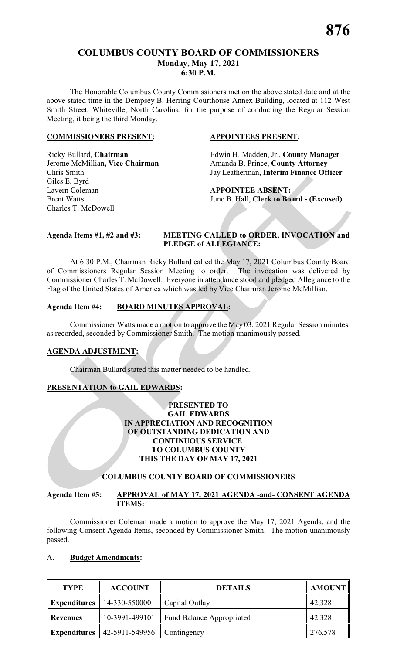# **COLUMBUS COUNTY BOARD OF COMMISSIONERS Monday, May 17, 2021 6:30 P.M.**

The Honorable Columbus County Commissioners met on the above stated date and at the above stated time in the Dempsey B. Herring Courthouse Annex Building, located at 112 West Smith Street, Whiteville, North Carolina, for the purpose of conducting the Regular Session Meeting, it being the third Monday.

#### **COMMISSIONERS PRESENT: APPOINTEES PRESENT:**

Giles E. Byrd Lavern Coleman **APPOINTEE ABSENT:** Charles T. McDowell

Ricky Bullard, **Chairman** Edwin H. Madden, Jr., **County Manager**  Jerome McMillian, Vice Chairman Amanda B. Prince, County Attorney Chris Smith Jay Leatherman, **Interim Finance Officer**

# Brent Watts **Iune B. Hall, Clerk to Board - (Excused)**

# **Agenda Items #1, #2 and #3: MEETING CALLED to ORDER, INVOCATION and PLEDGE of ALLEGIANCE:**

At 6:30 P.M., Chairman Ricky Bullard called the May 17, 2021 Columbus County Board of Commissioners Regular Session Meeting to order. The invocation was delivered by Commissioner Charles T. McDowell. Everyone in attendance stood and pledged Allegiance to the Flag of the United States of America which was led by Vice Chairman Jerome McMillian.

# **Agenda Item #4: BOARD MINUTES APPROVAL:**

Commissioner Watts made a motion to approve the May 03, 2021 Regular Session minutes, as recorded, seconded by Commissioner Smith. The motion unanimously passed.

#### **AGENDA ADJUSTMENT:**

Chairman Bullard stated this matter needed to be handled.

# **PRESENTATION to GAIL EDWARDS:**

#### **PRESENTED TO GAIL EDWARDS IN APPRECIATION AND RECOGNITION OF OUTSTANDING DEDICATION AND CONTINUOUS SERVICE TO COLUMBUS COUNTY THIS THE DAY OF MAY 17, 2021**

# **COLUMBUS COUNTY BOARD OF COMMISSIONERS**

# **Agenda Item #5: APPROVAL of MAY 17, 2021 AGENDA -and- CONSENT AGENDA ITEMS:**

Commissioner Coleman made a motion to approve the May 17, 2021 Agenda, and the following Consent Agenda Items, seconded by Commissioner Smith. The motion unanimously passed.

#### A. **Budget Amendments:**

| <b>TYPE</b>         | <b>ACCOUNT</b> | <b>DETAILS</b>                   | <b>AMOUNT</b> |
|---------------------|----------------|----------------------------------|---------------|
| <b>Expenditures</b> | 14-330-550000  | Capital Outlay                   | 42,328        |
| <b>Revenues</b>     | 10-3991-499101 | <b>Fund Balance Appropriated</b> | 42,328        |
| <b>Expenditures</b> | 42-5911-549956 | Contingency                      | 276,578       |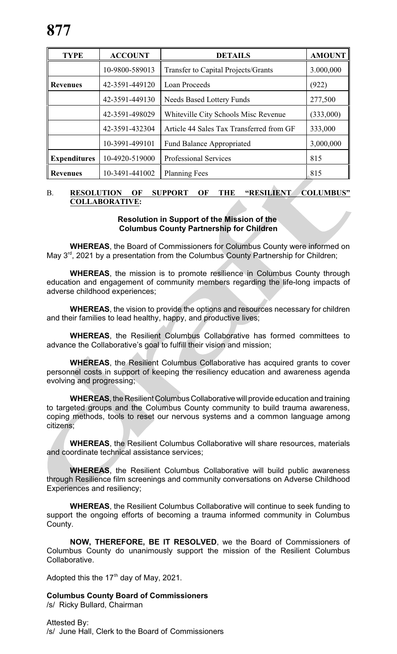| <b>TYPE</b>         | <b>ACCOUNT</b> | <b>DETAILS</b>                             | <b>AMOUNT</b> |
|---------------------|----------------|--------------------------------------------|---------------|
|                     | 10-9800-589013 | <b>Transfer to Capital Projects/Grants</b> | 3.000,000     |
| <b>Revenues</b>     | 42-3591-449120 | <b>Loan Proceeds</b>                       | (922)         |
|                     | 42-3591-449130 | <b>Needs Based Lottery Funds</b>           | 277,500       |
|                     | 42-3591-498029 | Whiteville City Schools Misc Revenue       | (333,000)     |
|                     | 42-3591-432304 | Article 44 Sales Tax Transferred from GF   | 333,000       |
|                     | 10-3991-499101 | <b>Fund Balance Appropriated</b>           | 3,000,000     |
| <b>Expenditures</b> | 10-4920-519000 | <b>Professional Services</b>               | 815           |
| <b>Revenues</b>     | 10-3491-441002 | <b>Planning Fees</b>                       | 815           |

# B. **RESOLUTION OF SUPPORT OF THE "RESILIENT COLUMBUS" COLLABORATIVE:**

# **Resolution in Support of the Mission of the Columbus County Partnership for Children**

**WHEREAS**, the Board of Commissioners for Columbus County were informed on May 3<sup>rd</sup>, 2021 by a presentation from the Columbus County Partnership for Children;

**WHEREAS**, the mission is to promote resilience in Columbus County through education and engagement of community members regarding the life-long impacts of adverse childhood experiences;

**WHEREAS**, the vision to provide the options and resources necessary for children and their families to lead healthy, happy, and productive lives;

**WHEREAS**, the Resilient Columbus Collaborative has formed committees to advance the Collaborative's goal to fulfill their vision and mission;

**WHEREAS**, the Resilient Columbus Collaborative has acquired grants to cover personnel costs in support of keeping the resiliency education and awareness agenda evolving and progressing;

**WHEREAS**, the Resilient Columbus Collaborative will provide education and training to targeted groups and the Columbus County community to build trauma awareness, coping methods, tools to reset our nervous systems and a common language among citizens;

**WHEREAS**, the Resilient Columbus Collaborative will share resources, materials and coordinate technical assistance services;

**WHEREAS**, the Resilient Columbus Collaborative will build public awareness through Resilience film screenings and community conversations on Adverse Childhood Experiences and resiliency;

**WHEREAS**, the Resilient Columbus Collaborative will continue to seek funding to support the ongoing efforts of becoming a trauma informed community in Columbus County.

**NOW, THEREFORE, BE IT RESOLVED**, we the Board of Commissioners of Columbus County do unanimously support the mission of the Resilient Columbus Collaborative.

Adopted this the 17<sup>th</sup> day of May, 2021.

**Columbus County Board of Commissioners**  /s/ Ricky Bullard, Chairman

Attested By: /s/ June Hall, Clerk to the Board of Commissioners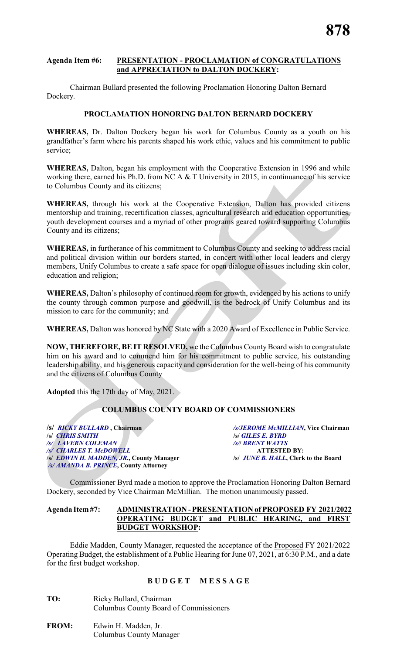#### **Agenda Item #6: PRESENTATION - PROCLAMATION of CONGRATULATIONS and APPRECIATION to DALTON DOCKERY:**

Chairman Bullard presented the following Proclamation Honoring Dalton Bernard Dockery.

## **PROCLAMATION HONORING DALTON BERNARD DOCKERY**

**WHEREAS,** Dr. Dalton Dockery began his work for Columbus County as a youth on his grandfather's farm where his parents shaped his work ethic, values and his commitment to public service;

**WHEREAS,** Dalton, began his employment with the Cooperative Extension in 1996 and while working there, earned his Ph.D. from NC A & T University in 2015, in continuance of his service to Columbus County and its citizens;

**WHEREAS,** through his work at the Cooperative Extension, Dalton has provided citizens mentorship and training, recertification classes, agricultural research and education opportunities, youth development courses and a myriad of other programs geared toward supporting Columbus County and its citizens;

**WHEREAS,** in furtherance of his commitment to Columbus County and seeking to address racial and political division within our borders started, in concert with other local leaders and clergy members, Unify Columbus to create a safe space for open dialogue of issues including skin color, education and religion;

**WHEREAS,** Dalton's philosophy of continued room for growth, evidenced by his actions to unify the county through common purpose and goodwill, is the bedrock of Unify Columbus and its mission to care for the community; and

**WHEREAS,** Dalton was honored by NC State with a 2020 Award of Excellence in Public Service.

**NOW, THEREFORE, BE IT RESOLVED,** we the Columbus County Board wish to congratulate him on his award and to commend him for his commitment to public service, his outstanding leadership ability, and his generous capacity and consideration for the well-being of his community and the citizens of Columbus County

**Adopted** this the 17th day of May, 2021.

# **COLUMBUS COUNTY BOARD OF COMMISSIONERS**

**/s/** *RICKY BULLARD* **, Chairman** */s/JEROME McMILLIAN***, Vice Chairman /s/** *CHRIS SMITH* **/s/** *GILES E. BYRD /s/ LAVERN COLEMAN /s/***/** *BRENT WATTS /s/ CHARLES T. McDOWELL* **ATTESTED BY: /s/** *EDWIN H. MADDEN, JR.***, County Manager /s/** *JUNE B. HALL***, Clerk to the Board**   */s/ AMANDA B. PRINCE***, County Attorney**

Commissioner Byrd made a motion to approve the Proclamation Honoring Dalton Bernard Dockery, seconded by Vice Chairman McMillian. The motion unanimously passed.

#### **Agenda Item#7: ADMINISTRATION - PRESENTATION of PROPOSED FY 2021/2022 OPERATING BUDGET and PUBLIC HEARING, and FIRST BUDGET WORKSHOP:**

Eddie Madden, County Manager, requested the acceptance of the Proposed FY 2021/2022 Operating Budget, the establishment of a Public Hearing for June 07, 2021, at 6:30 P.M., and a date for the first budget workshop.

# **B U D G E T M E S S A G E**

- **TO:** Ricky Bullard, Chairman Columbus County Board of Commissioners
- **FROM:** Edwin H. Madden, Jr. Columbus County Manager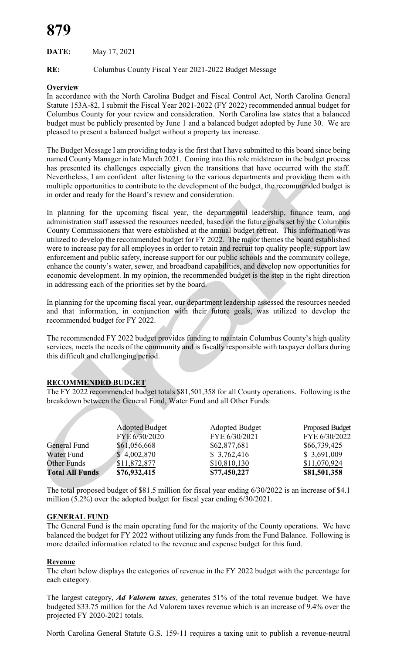# **879**

**DATE:** May 17, 2021

**RE:** Columbus County Fiscal Year 2021-2022 Budget Message

# **Overview**

In accordance with the North Carolina Budget and Fiscal Control Act, North Carolina General Statute 153A-82, I submit the Fiscal Year 2021-2022 (FY 2022) recommended annual budget for Columbus County for your review and consideration. North Carolina law states that a balanced budget must be publicly presented by June 1 and a balanced budget adopted by June 30. We are pleased to present a balanced budget without a property tax increase.

The Budget Message I am providing today is the first that I have submitted to this board since being named County Manager in late March 2021. Coming into this role midstream in the budget process has presented its challenges especially given the transitions that have occurred with the staff. Nevertheless, I am confident after listening to the various departments and providing them with multiple opportunities to contribute to the development of the budget, the recommended budget is in order and ready for the Board's review and consideration.

In planning for the upcoming fiscal year, the departmental leadership, finance team, and administration staff assessed the resources needed, based on the future goals set by the Columbus County Commissioners that were established at the annual budget retreat. This information was utilized to develop the recommended budget for FY 2022. The major themes the board established were to increase pay for all employees in order to retain and recruit top quality people, support law enforcement and public safety, increase support for our public schools and the community college, enhance the county's water, sewer, and broadband capabilities, and develop new opportunities for economic development. In my opinion, the recommended budget is the step in the right direction in addressing each of the priorities set by the board.

In planning for the upcoming fiscal year, our department leadership assessed the resources needed and that information, in conjunction with their future goals, was utilized to develop the recommended budget for FY 2022.

The recommended FY 2022 budget provides funding to maintain Columbus County's high quality services, meets the needs of the community and is fiscally responsible with taxpayer dollars during this difficult and challenging period.

# **RECOMMENDED BUDGET**

The FY 2022 recommended budget totals \$81,501,358 for all County operations. Following is the breakdown between the General Fund, Water Fund and all Other Funds:

|                        | Adopted Budget<br>FYE 6/30/2020 | <b>Adopted Budget</b><br>FYE 6/30/2021 | <b>Proposed Budget</b><br>FYE 6/30/2022 |
|------------------------|---------------------------------|----------------------------------------|-----------------------------------------|
| General Fund           | \$61,056,668                    | \$62,877,681                           | \$66,739,425                            |
| Water Fund             | \$4,002,870                     | \$3,762,416                            | \$3,691,009                             |
| Other Funds            | \$11,872,877                    | \$10,810,130                           | \$11,070,924                            |
| <b>Total All Funds</b> | \$76,932,415                    | \$77,450,227                           | \$81,501,358                            |

The total proposed budget of \$81.5 million for fiscal year ending 6/30/2022 is an increase of \$4.1 million (5.2%) over the adopted budget for fiscal year ending 6/30/2021.

#### **GENERAL FUND**

The General Fund is the main operating fund for the majority of the County operations. We have balanced the budget for FY 2022 without utilizing any funds from the Fund Balance. Following is more detailed information related to the revenue and expense budget for this fund.

#### **Revenue**

The chart below displays the categories of revenue in the FY 2022 budget with the percentage for each category.

The largest category, *Ad Valorem taxes*, generates 51% of the total revenue budget. We have budgeted \$33.75 million for the Ad Valorem taxes revenue which is an increase of 9.4% over the projected FY 2020-2021 totals.

North Carolina General Statute G.S. 159-11 requires a taxing unit to publish a revenue-neutral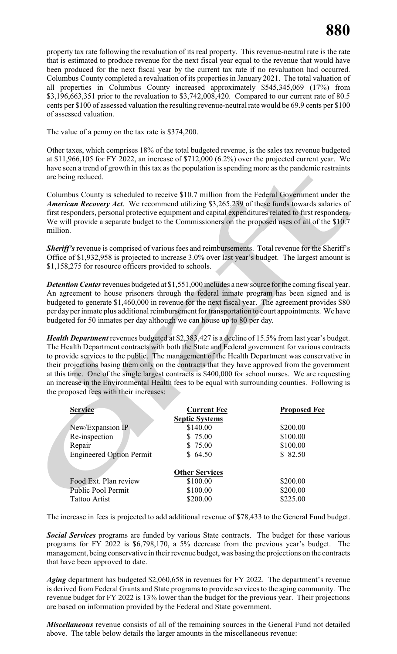property tax rate following the revaluation of its real property. This revenue-neutral rate is the rate that is estimated to produce revenue for the next fiscal year equal to the revenue that would have been produced for the next fiscal year by the current tax rate if no revaluation had occurred. Columbus County completed a revaluation of its properties in January 2021. The total valuation of all properties in Columbus County increased approximately \$545,345,069 (17%) from \$3,196,663,351 prior to the revaluation to \$3,742,008,420. Compared to our current rate of 80.5 cents per \$100 of assessed valuation the resulting revenue-neutral rate would be 69.9 cents per \$100 of assessed valuation.

The value of a penny on the tax rate is \$374,200.

Other taxes, which comprises 18% of the total budgeted revenue, is the sales tax revenue budgeted at \$11,966,105 for FY 2022, an increase of \$712,000 (6.2%) over the projected current year. We have seen a trend of growth in this tax as the population is spending more as the pandemic restraints are being reduced.

Columbus County is scheduled to receive \$10.7 million from the Federal Government under the *American Recovery Act*. We recommend utilizing \$3,265,239 of these funds towards salaries of first responders, personal protective equipment and capital expenditures related to first responders. We will provide a separate budget to the Commissioners on the proposed uses of all of the \$10.7 million.

**Sheriff's** revenue is comprised of various fees and reimbursements. Total revenue for the Sheriff's Office of \$1,932,958 is projected to increase 3.0% over last year's budget. The largest amount is \$1,158,275 for resource officers provided to schools.

*Detention Center*revenues budgeted at \$1,551,000 includes a new source for the coming fiscal year. An agreement to house prisoners through the federal inmate program has been signed and is budgeted to generate \$1,460,000 in revenue for the next fiscal year. The agreement provides \$80 per day per inmate plus additional reimbursement for transportation to court appointments. We have budgeted for 50 inmates per day although we can house up to 80 per day.

*Health Department* revenues budgeted at \$2,383,427 is a decline of 15.5% from last year's budget. The Health Department contracts with both the State and Federal government for various contracts to provide services to the public. The management of the Health Department was conservative in their projections basing them only on the contracts that they have approved from the government at this time. One of the single largest contracts is \$400,000 for school nurses. We are requesting an increase in the Environmental Health fees to be equal with surrounding counties. Following is the proposed fees with their increases:

| <b>Service</b>                  | <b>Current Fee</b>    | <b>Proposed Fee</b> |
|---------------------------------|-----------------------|---------------------|
|                                 | <b>Septic Systems</b> |                     |
| New/Expansion IP                | \$140.00              | \$200.00            |
| Re-inspection                   | \$75.00               | \$100.00            |
| Repair                          | \$75.00               | \$100.00            |
| <b>Engineered Option Permit</b> | \$64.50               | \$82.50             |
|                                 |                       |                     |
|                                 | <b>Other Services</b> |                     |
| Food Ext. Plan review           | \$100.00              | \$200.00            |
| Public Pool Permit              | \$100.00              | \$200.00            |
| <b>Tattoo Artist</b>            | \$200.00              | \$225.00            |

The increase in fees is projected to add additional revenue of \$78,433 to the General Fund budget.

*Social Services* programs are funded by various State contracts. The budget for these various programs for FY 2022 is \$6,798,170, a 5% decrease from the previous year's budget. The management, being conservative in their revenue budget, was basing the projections on the contracts that have been approved to date.

*Aging* department has budgeted \$2,060,658 in revenues for FY 2022. The department's revenue is derived from Federal Grants and State programs to provide services to the aging community. The revenue budget for FY 2022 is 13% lower than the budget for the previous year. Their projections are based on information provided by the Federal and State government.

*Miscellaneous* revenue consists of all of the remaining sources in the General Fund not detailed above. The table below details the larger amounts in the miscellaneous revenue: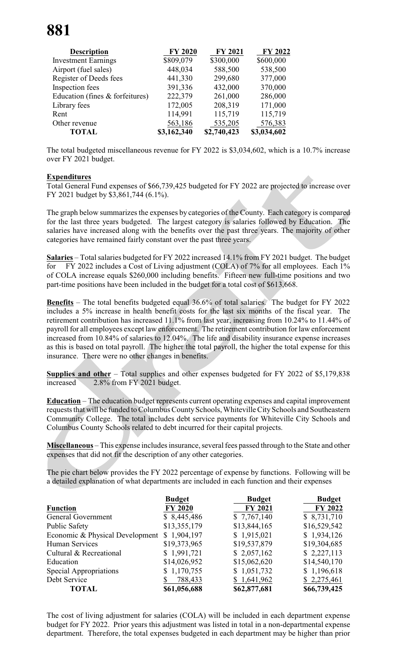| <b>Description</b>              | <b>FY 2020</b> | <b>FY 2021</b> | <b>FY 2022</b> |
|---------------------------------|----------------|----------------|----------------|
| <b>Investment Earnings</b>      | \$809,079      | \$300,000      | \$600,000      |
| Airport (fuel sales)            | 448,034        | 588,500        | 538,500        |
| Register of Deeds fees          | 441,330        | 299,680        | 377,000        |
| Inspection fees                 | 391,336        | 432,000        | 370,000        |
| Education (fines & forfeitures) | 222,379        | 261,000        | 286,000        |
| Library fees                    | 172,005        | 208,319        | 171,000        |
| Rent                            | 114,991        | 115,719        | 115,719        |
| Other revenue                   | 563,186        | 535,205        | 576,383        |
| <b>TOTAL</b>                    | \$3,162,340    | \$2,740,423    | \$3,034,602    |

The total budgeted miscellaneous revenue for FY 2022 is \$3,034,602, which is a 10.7% increase over FY 2021 budget.

#### **Expenditures**

Total General Fund expenses of \$66,739,425 budgeted for FY 2022 are projected to increase over FY 2021 budget by \$3,861,744 (6.1%).

The graph below summarizes the expenses by categories of the County. Each category is compared for the last three years budgeted. The largest category is salaries followed by Education. The salaries have increased along with the benefits over the past three years. The majority of other categories have remained fairly constant over the past three years.

**Salaries** – Total salaries budgeted for FY 2022 increased 14.1% from FY 2021 budget. The budget for FY 2022 includes a Cost of Living adjustment (COLA) of 7% for all employees. Each 1% of COLA increase equals \$260,000 including benefits. Fifteen new full-time positions and two part-time positions have been included in the budget for a total cost of \$613,668.

**Benefits** – The total benefits budgeted equal 36.6% of total salaries. The budget for FY 2022 includes a 5% increase in health benefit costs for the last six months of the fiscal year. The retirement contribution has increased 11.1% from last year, increasing from 10.24% to 11.44% of payroll for all employees except law enforcement. The retirement contribution for law enforcement increased from 10.84% of salaries to 12.04%. The life and disability insurance expense increases as this is based on total payroll. The higher the total payroll, the higher the total expense for this insurance. There were no other changes in benefits.

**Supplies and other** – Total supplies and other expenses budgeted for FY 2022 of \$5,179,838 increased 2.8% from FY 2021 budget.

**Education** – The education budget represents current operating expenses and capital improvement requests that will be funded to Columbus CountySchools, Whiteville CitySchools and Southeastern Community College. The total includes debt service payments for Whiteville City Schools and Columbus County Schools related to debt incurred for their capital projects.

**Miscellaneous** – This expense includes insurance, several fees passed through to the State and other expenses that did not fit the description of any other categories.

The pie chart below provides the FY 2022 percentage of expense by functions. Following will be a detailed explanation of what departments are included in each function and their expenses

|                                 | <b>Budget</b>  | <b>Budget</b> | <b>Budget</b> |
|---------------------------------|----------------|---------------|---------------|
| <b>Function</b>                 | <b>FY 2020</b> | FY 2021       | FY 2022       |
| General Government              | \$8,445,486    | \$7,767,140   | \$8,731,710   |
| <b>Public Safety</b>            | \$13,355,179   | \$13,844,165  | \$16,529,542  |
| Economic & Physical Development | \$1,904,197    | \$1,915,021   | \$1,934,126   |
| Human Services                  | \$19,373,965   | \$19,537,879  | \$19,304,685  |
| Cultural & Recreational         | \$1,991,721    | \$2,057,162   | \$2,227,113   |
| Education                       | \$14,026,952   | \$15,062,620  | \$14,540,170  |
| Special Appropriations          | \$1,170,755    | \$1,051,732   | \$1,196,618   |
| Debt Service                    | 788,433        | \$1,641,962   | \$2,275,461   |
| <b>TOTAL</b>                    | \$61,056,688   | \$62,877,681  | \$66,739,425  |

The cost of living adjustment for salaries (COLA) will be included in each department expense budget for FY 2022. Prior years this adjustment was listed in total in a non-departmental expense department. Therefore, the total expenses budgeted in each department may be higher than prior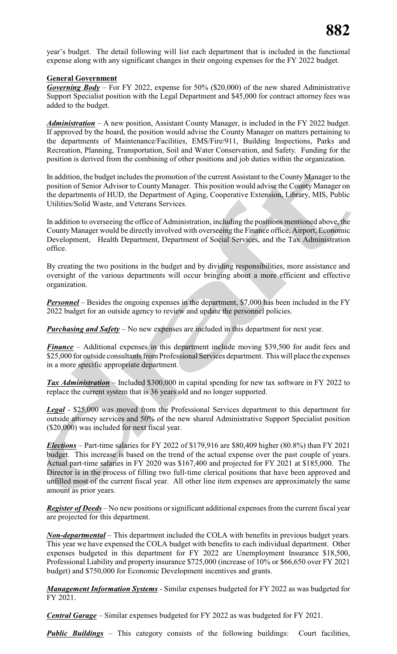year's budget. The detail following will list each department that is included in the functional expense along with any significant changes in their ongoing expenses for the FY 2022 budget.

### **General Government**

*Governing Body* – For FY 2022, expense for 50% (\$20,000) of the new shared Administrative Support Specialist position with the Legal Department and \$45,000 for contract attorney fees was added to the budget.

*Administration* – A new position, Assistant County Manager, is included in the FY 2022 budget. If approved by the board, the position would advise the County Manager on matters pertaining to the departments of Maintenance/Facilities, EMS/Fire/911, Building Inspections, Parks and Recreation, Planning, Transportation, Soil and Water Conservation, and Safety. Funding for the position is derived from the combining of other positions and job duties within the organization.

In addition, the budget includes the promotion of the current Assistant to the County Manager to the position of Senior Advisor to County Manager. This position would advise the County Manager on the departments of HUD, the Department of Aging, Cooperative Extension, Library, MIS, Public Utilities/Solid Waste, and Veterans Services.

In addition to overseeing the office of Administration, including the positions mentioned above, the County Manager would be directly involved with overseeing the Finance office, Airport, Economic Development, Health Department, Department of Social Services, and the Tax Administration office.

By creating the two positions in the budget and by dividing responsibilities, more assistance and oversight of the various departments will occur bringing about a more efficient and effective organization.

*Personnel* – Besides the ongoing expenses in the department, \$7,000 has been included in the FY 2022 budget for an outside agency to review and update the personnel policies.

*Purchasing and Safety* – No new expenses are included in this department for next year.

*Finance* – Additional expenses in this department include moving \$39,500 for audit fees and \$25,000 for outside consultants from Professional Services department. This will place the expenses in a more specific appropriate department.

*Tax Administration* – Included \$300,000 in capital spending for new tax software in FY 2022 to replace the current system that is 36 years old and no longer supported.

*Legal* - \$25,000 was moved from the Professional Services department to this department for outside attorney services and 50% of the new shared Administrative Support Specialist position (\$20,000) was included for next fiscal year.

*Elections* – Part-time salaries for FY 2022 of \$179,916 are \$80,409 higher (80.8%) than FY 2021 budget. This increase is based on the trend of the actual expense over the past couple of years. Actual part-time salaries in FY 2020 was \$167,400 and projected for FY 2021 at \$185,000. The Director is in the process of filling two full-time clerical positions that have been approved and unfilled most of the current fiscal year. All other line item expenses are approximately the same amount as prior years.

*Register of Deeds* – No new positions or significant additional expenses from the current fiscal year are projected for this department.

*Non-departmental* – This department included the COLA with benefits in previous budget years. This year we have expensed the COLA budget with benefits to each individual department. Other expenses budgeted in this department for FY 2022 are Unemployment Insurance \$18,500, Professional Liability and property insurance \$725,000 (increase of 10% or \$66,650 over FY 2021 budget) and \$750,000 for Economic Development incentives and grants.

*Management Information Systems* - Similar expenses budgeted for FY 2022 as was budgeted for FY 2021.

*Central Garage* – Similar expenses budgeted for FY 2022 as was budgeted for FY 2021.

*Public Buildings* – This category consists of the following buildings: Court facilities,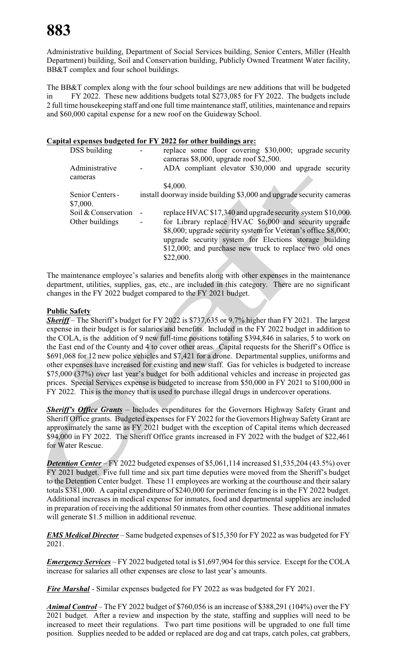Administrative building, Department of Social Services building, Senior Centers, Miller (Health Department) building, Soil and Conservation building, Publicly Owned Treatment Water facility, BB&T complex and four school buildings.

The BB&T complex along with the four school buildings are new additions that will be budgeted in FY 2022. These new additions budgets total \$273,085 for FY 2022. The budgets include 2 full time housekeeping staff and one full time maintenance staff, utilities, maintenance and repairs and \$60,000 capital expense for a new roof on the Guideway School.

#### **Capital expenses budgeted for FY 2022 for other buildings are:**

| DSS building                 | replace some floor covering \$30,000; upgrade security<br>cameras \$8,000, upgrade roof \$2,500.                                                                                                                                                           |
|------------------------------|------------------------------------------------------------------------------------------------------------------------------------------------------------------------------------------------------------------------------------------------------------|
| Administrative               | ADA compliant elevator \$30,000 and upgrade security                                                                                                                                                                                                       |
| cameras                      | \$4,000.                                                                                                                                                                                                                                                   |
| Senior Centers -<br>\$7,000. | install doorway inside building \$3,000 and upgrade security cameras                                                                                                                                                                                       |
| Soil & Conservation          | replace HVAC \$17,340 and upgrade security system \$10,000.                                                                                                                                                                                                |
| Other buildings              | for Library replace HVAC \$6,000 and security upgrade<br>\$8,000; upgrade security system for Veteran's office \$8,000;<br>upgrade security system for Elections storage building<br>\$12,000; and purchase new truck to replace two old ones<br>\$22,000. |

The maintenance employee's salaries and benefits along with other expenses in the maintenance department, utilities, supplies, gas, etc., are included in this category. There are no significant changes in the FY 2022 budget compared to the FY 2021 budget.

# **Public Safety**

*Sheriff* – The Sheriff's budget for FY 2022 is \$737,635 or 9.7% higher than FY 2021. The largest expense in their budget is for salaries and benefits. Included in the FY 2022 budget in addition to the COLA, is the addition of 9 new full-time positions totaling \$394,846 in salaries, 5 to work on the East end of the County and 4 to cover other areas. Capital requests for the Sheriff's Office is \$691,068 for 12 new police vehicles and \$7,421 for a drone. Departmental supplies, uniforms and other expenses have increased for existing and new staff. Gas for vehicles is budgeted to increase \$75,000 (37%) over last year's budget for both additional vehicles and increase in projected gas prices. Special Services expense is budgeted to increase from \$50,000 in FY 2021 to \$100,000 in FY 2022. This is the money that is used to purchase illegal drugs in undercover operations.

*Sheriff's Office Grants* – Includes expenditures for the Governors Highway Safety Grant and Sheriff Office grants. Budgeted expenses for FY 2022 for the Governors Highway Safety Grant are approximately the same as FY 2021 budget with the exception of Capital items which decreased \$94,000 in FY 2022. The Sheriff Office grants increased in FY 2022 with the budget of \$22,461 for Water Rescue.

*Detention Center* – FY 2022 budgeted expenses of \$5,061,114 increased \$1,535,204 (43.5%) over FY 2021 budget. Five full time and six part time deputies were moved from the Sheriff's budget to the Detention Center budget. These 11 employees are working at the courthouse and their salary totals \$381,000. A capital expenditure of \$240,000 for perimeter fencing is in the FY 2022 budget. Additional increases in medical expense for inmates, food and departmental supplies are included in preparation of receiving the additional 50 inmates from other counties. These additional inmates will generate \$1.5 million in additional revenue.

*EMS Medical Director* – Same budgeted expenses of \$15,350 for FY 2022 as was budgeted for FY 2021.

*Emergency Services* – FY 2022 budgeted total is \$1,697,904 for this service. Except for the COLA increase for salaries all other expenses are close to last year's amounts.

*Fire Marshal* - Similar expenses budgeted for FY 2022 as was budgeted for FY 2021.

*Animal Control* – The FY 2022 budget of \$760,056 is an increase of \$388,291 (104%) over the FY 2021 budget. After a review and inspection by the state, staffing and supplies will need to be increased to meet their regulations. Two part time positions will be upgraded to one full time position. Supplies needed to be added or replaced are dog and cat traps, catch poles, cat grabbers,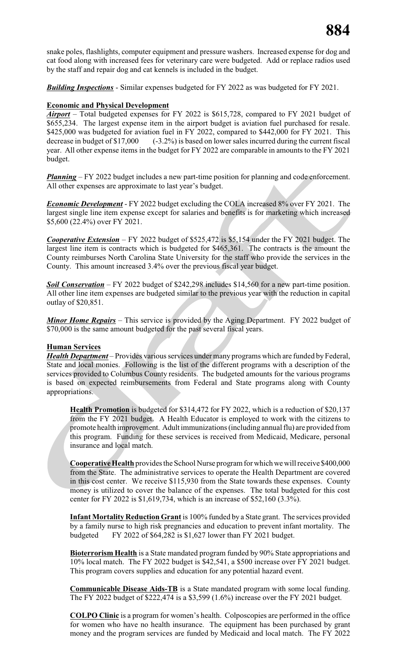snake poles, flashlights, computer equipment and pressure washers. Increased expense for dog and cat food along with increased fees for veterinary care were budgeted. Add or replace radios used by the staff and repair dog and cat kennels is included in the budget.

*Building Inspections* - Similar expenses budgeted for FY 2022 as was budgeted for FY 2021.

## **Economic and Physical Development**

*Airport* – Total budgeted expenses for FY 2022 is \$615,728, compared to FY 2021 budget of \$655,234. The largest expense item in the airport budget is aviation fuel purchased for resale. \$425,000 was budgeted for aviation fuel in FY 2022, compared to \$442,000 for FY 2021. This decrease in budget of \$17,000 (-3.2%) is based on lower sales incurred during the current fiscal year. All other expense items in the budget for FY 2022 are comparable in amounts to the FY 2021 budget.

*Planning* – FY 2022 budget includes a new part-time position for planning and code enforcement. All other expenses are approximate to last year's budget.

*Economic Development* - FY 2022 budget excluding the COLA increased 8% over FY 2021. The largest single line item expense except for salaries and benefits is for marketing which increased \$5,600 (22.4%) over FY 2021.

*Cooperative Extension* – FY 2022 budget of \$525,472 is \$5,154 under the FY 2021 budget. The largest line item is contracts which is budgeted for \$465,361. The contracts is the amount the County reimburses North Carolina State University for the staff who provide the services in the County. This amount increased 3.4% over the previous fiscal year budget.

*Soil Conservation* – FY 2022 budget of \$242,298 includes \$14,560 for a new part-time position. All other line item expenses are budgeted similar to the previous year with the reduction in capital outlay of \$20,851.

*Minor Home Repairs* – This service is provided by the Aging Department. FY 2022 budget of \$70,000 is the same amount budgeted for the past several fiscal years.

#### **Human Services**

*Health Department* – Provides various services under many programs which are funded by Federal, State and local monies. Following is the list of the different programs with a description of the services provided to Columbus County residents. The budgeted amounts for the various programs is based on expected reimbursements from Federal and State programs along with County appropriations.

**Health Promotion** is budgeted for \$314,472 for FY 2022, which is a reduction of \$20,137 from the FY 2021 budget. A Health Educator is employed to work with the citizens to promote health improvement. Adult immunizations (including annual flu) are provided from this program. Funding for these services is received from Medicaid, Medicare, personal insurance and local match.

**Cooperative Health** provides the School Nurse program for which we will receive \$400,000 from the State. The administrative services to operate the Health Department are covered in this cost center. We receive \$115,930 from the State towards these expenses. County money is utilized to cover the balance of the expenses. The total budgeted for this cost center for FY 2022 is \$1,619,734, which is an increase of \$52,160 (3.3%).

**Infant Mortality Reduction Grant** is 100% funded by a State grant. The services provided by a family nurse to high risk pregnancies and education to prevent infant mortality. The budgeted FY 2022 of \$64,282 is \$1,627 lower than FY 2021 budget.

**Bioterrorism Health** is a State mandated program funded by 90% State appropriations and 10% local match. The FY 2022 budget is \$42,541, a \$500 increase over FY 2021 budget. This program covers supplies and education for any potential hazard event.

**Communicable Disease Aids-TB** is a State mandated program with some local funding. The FY 2022 budget of \$222,474 is a \$3,599 (1.6%) increase over the FY 2021 budget.

**COLPO Clinic** is a program for women's health. Colposcopies are performed in the office for women who have no health insurance. The equipment has been purchased by grant money and the program services are funded by Medicaid and local match. The FY 2022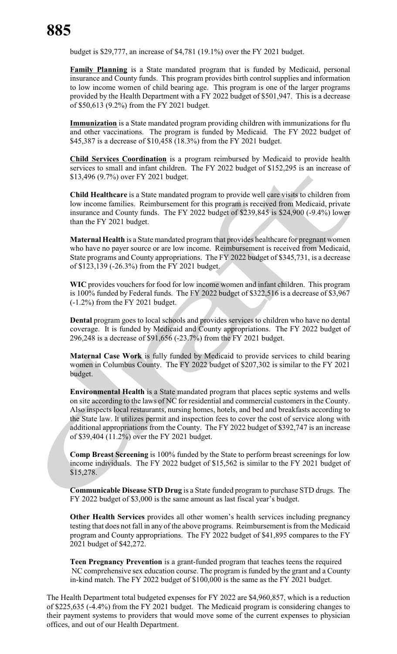budget is \$29,777, an increase of \$4,781 (19.1%) over the FY 2021 budget.

**Family Planning** is a State mandated program that is funded by Medicaid, personal insurance and County funds. This program provides birth control supplies and information to low income women of child bearing age. This program is one of the larger programs provided by the Health Department with a FY 2022 budget of \$501,947. This is a decrease of \$50,613 (9.2%) from the FY 2021 budget.

**Immunization** is a State mandated program providing children with immunizations for flu and other vaccinations. The program is funded by Medicaid. The FY 2022 budget of \$45,387 is a decrease of \$10,458 (18.3%) from the FY 2021 budget.

**Child Services Coordination** is a program reimbursed by Medicaid to provide health services to small and infant children. The FY 2022 budget of \$152,295 is an increase of \$13,496 (9.7%) over FY 2021 budget.

**Child Healthcare** is a State mandated program to provide well care visits to children from low income families. Reimbursement for this program is received from Medicaid, private insurance and County funds. The FY 2022 budget of \$239,845 is \$24,900 (-9.4%) lower than the FY 2021 budget.

**Maternal Health** is a State mandated program that provides healthcare for pregnant women who have no payer source or are low income. Reimbursement is received from Medicaid, State programs and County appropriations. The FY 2022 budget of \$345,731, is a decrease of \$123,139 (-26.3%) from the FY 2021 budget.

**WIC** provides vouchers for food for low income women and infant children. This program is 100% funded by Federal funds. The FY 2022 budget of \$322,516 is a decrease of \$3,967 (-1.2%) from the FY 2021 budget.

**Dental** program goes to local schools and provides services to children who have no dental coverage. It is funded by Medicaid and County appropriations. The FY 2022 budget of 296,248 is a decrease of \$91,656 (-23.7%) from the FY 2021 budget.

**Maternal Case Work** is fully funded by Medicaid to provide services to child bearing women in Columbus County. The FY 2022 budget of \$207,302 is similar to the FY 2021 budget.

**Environmental Health** is a State mandated program that places septic systems and wells on site according to the laws of NC for residential and commercial customers in the County. Also inspects local restaurants, nursing homes, hotels, and bed and breakfasts according to the State law. It utilizes permit and inspection fees to cover the cost of service along with additional appropriations from the County. The FY 2022 budget of \$392,747 is an increase of \$39,404 (11.2%) over the FY 2021 budget.

**Comp Breast Screening** is 100% funded by the State to perform breast screenings for low income individuals. The FY 2022 budget of \$15,562 is similar to the FY 2021 budget of \$15,278.

**Communicable Disease STD Drug** is a State funded program to purchase STD drugs. The FY 2022 budget of \$3,000 is the same amount as last fiscal year's budget.

**Other Health Services** provides all other women's health services including pregnancy testing that does not fall in any of the above programs. Reimbursement is from the Medicaid program and County appropriations. The FY 2022 budget of \$41,895 compares to the FY 2021 budget of \$42,272.

**Teen Pregnancy Prevention** is a grant-funded program that teaches teens the required NC comprehensive sex education course. The program is funded by the grant and a County in-kind match. The FY 2022 budget of \$100,000 is the same as the FY 2021 budget.

The Health Department total budgeted expenses for FY 2022 are \$4,960,857, which is a reduction of \$225,635 (-4.4%) from the FY 2021 budget. The Medicaid program is considering changes to their payment systems to providers that would move some of the current expenses to physician offices, and out of our Health Department.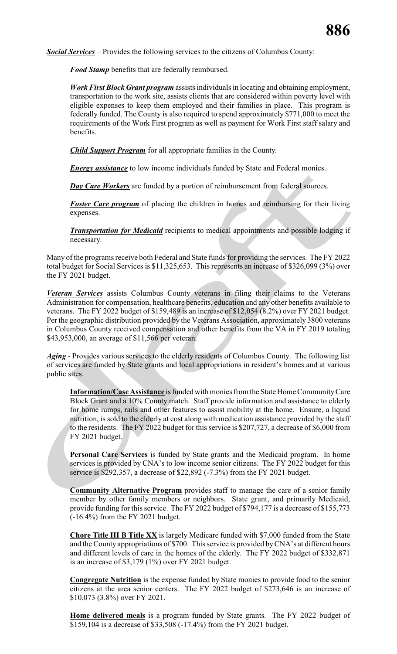*Social Services* – Provides the following services to the citizens of Columbus County:

*Food Stamp* benefits that are federally reimbursed.

*Work First Block Grant program* assists individuals in locating and obtaining employment, transportation to the work site, assists clients that are considered within poverty level with eligible expenses to keep them employed and their families in place. This program is federally funded. The County is also required to spend approximately \$771,000 to meet the requirements of the Work First program as well as payment for Work First staff salary and benefits.

*Child Support Program* for all appropriate families in the County.

*Energy assistance* to low income individuals funded by State and Federal monies.

*Day Care Workers* are funded by a portion of reimbursement from federal sources.

*Foster Care program* of placing the children in homes and reimbursing for their living expenses.

*Transportation for Medicaid* recipients to medical appointments and possible lodging if necessary.

Many of the programs receive both Federal and State funds for providing the services. The FY 2022 total budget for Social Services is \$11,325,653. This represents an increase of \$326,099 (3%) over the FY 2021 budget.

*Veteran Services* assists Columbus County veterans in filing their claims to the Veterans Administration for compensation, healthcare benefits, education and any other benefits available to veterans. The FY 2022 budget of \$159,489 is an increase of \$12,054 (8.2%) over FY 2021 budget. Per the geographic distribution provided by the Veterans Association, approximately 3800 veterans in Columbus County received compensation and other benefits from the VA in FY 2019 totaling \$43,953,000, an average of \$11,566 per veteran.

*Aging* - Provides various services to the elderly residents of Columbus County. The following list of services are funded by State grants and local appropriations in resident's homes and at various public sites.

**Information/Case Assistance** is funded with monies from the State Home CommunityCare Block Grant and a 10% County match. Staff provide information and assistance to elderly for home ramps, rails and other features to assist mobility at the home. Ensure, a liquid nutrition, is sold to the elderly at cost along with medication assistance provided by the staff to the residents. The FY 2022 budget for this service is \$207,727, a decrease of \$6,000 from FY 2021 budget.

**Personal Care Services** is funded by State grants and the Medicaid program. In home services is provided by CNA's to low income senior citizens. The FY 2022 budget for this service is \$292,357, a decrease of \$22,892 (-7.3%) from the FY 2021 budget.

**Community Alternative Program** provides staff to manage the care of a senior family member by other family members or neighbors. State grant, and primarily Medicaid, provide funding for this service. The FY 2022 budget of \$794,177 is a decrease of \$155,773 (-16.4%) from the FY 2021 budget.

**Chore Title III B Title XX** is largely Medicare funded with \$7,000 funded from the State and the County appropriations of \$700. This service is provided byCNA's at different hours and different levels of care in the homes of the elderly. The FY 2022 budget of \$332,871 is an increase of \$3,179 (1%) over FY 2021 budget.

**Congregate Nutrition** is the expense funded by State monies to provide food to the senior citizens at the area senior centers. The FY 2022 budget of \$273,646 is an increase of \$10,073 (3.8%) over FY 2021.

**Home delivered meals** is a program funded by State grants. The FY 2022 budget of \$159,104 is a decrease of \$33,508 (-17.4%) from the FY 2021 budget.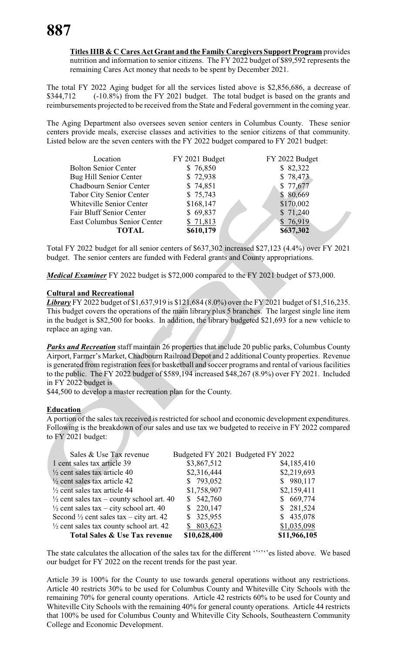**Titles IIIB & C Cares Act Grant and the Family Caregivers Support Program** provides nutrition and information to senior citizens. The FY 2022 budget of \$89,592 represents the remaining Cares Act money that needs to be spent by December 2021.

The total FY 2022 Aging budget for all the services listed above is \$2,856,686, a decrease of \$344,712 (-10.8%) from the FY 2021 budget. The total budget is based on the grants and reimbursements projected to be received from the State and Federal government in the coming year.

The Aging Department also oversees seven senior centers in Columbus County. These senior centers provide meals, exercise classes and activities to the senior citizens of that community. Listed below are the seven centers with the FY 2022 budget compared to FY 2021 budget:

| Location                        | FY 2021 Budget | FY 2022 Budget |
|---------------------------------|----------------|----------------|
| <b>Bolton Senior Center</b>     | \$76,850       | \$82,322       |
| Bug Hill Senior Center          | \$72,938       | \$78,473       |
| Chadbourn Senior Center         | \$74,851       | \$ 77,677      |
| <b>Tabor City Senior Center</b> | \$75,743       | \$80,669       |
| Whiteville Senior Center        | \$168,147      | \$170,002      |
| Fair Bluff Senior Center        | \$69,837       | \$71,240       |
| East Columbus Senior Center     | \$71,813       | \$76,919       |
| <b>TOTAL</b>                    | \$610,179      | \$637,302      |

Total FY 2022 budget for all senior centers of \$637,302 increased \$27,123 (4.4%) over FY 2021 budget. The senior centers are funded with Federal grants and County appropriations.

*Medical Examiner* FY 2022 budget is \$72,000 compared to the FY 2021 budget of \$73,000.

#### **Cultural and Recreational**

*Library* FY 2022 budget of \$1,637,919 is \$121,684 (8.0%) over the FY 2021 budget of \$1,516,235. This budget covers the operations of the main library plus 5 branches. The largest single line item in the budget is \$82,500 for books. In addition, the library budgeted \$21,693 for a new vehicle to replace an aging van.

*Parks and Recreation* staff maintain 26 properties that include 20 public parks, Columbus County Airport, Farmer's Market, Chadbourn Railroad Depot and 2 additional County properties. Revenue is generated from registration fees for basketball and soccer programs and rental of various facilities to the public. The FY 2022 budget of \$589,194 increased \$48,267 (8.9%) over FY 2021. Included in FY 2022 budget is

\$44,500 to develop a master recreation plan for the County.

#### **Education**

A portion of the sales tax received is restricted for school and economic development expenditures. Following is the breakdown of our sales and use tax we budgeted to receive in FY 2022 compared to FY 2021 budget:

| Sales & Use Tax revenue                              |               | Budgeted FY 2021 Budgeted FY 2022 |
|------------------------------------------------------|---------------|-----------------------------------|
| 1 cent sales tax article 39                          | \$3,867,512   | \$4,185,410                       |
| $\frac{1}{2}$ cent sales tax article 40              | \$2,316,444   | \$2,219,693                       |
| $\frac{1}{2}$ cent sales tax article 42              | \$793,052     | \$980,117                         |
| $\frac{1}{2}$ cent sales tax article 44              | \$1,758,907   | \$2,159,411                       |
| $\frac{1}{2}$ cent sales tax – county school art. 40 | \$542,760     | \$669,774                         |
| $\frac{1}{2}$ cent sales tax – city school art. 40   | \$220,147     | \$281,524                         |
| Second $\frac{1}{2}$ cent sales tax – city art. 42   | 325,955<br>S. | \$435,078                         |
| $\frac{1}{2}$ cent sales tax county school art. 42   | \$803,623     | \$1,035,098                       |
| <b>Total Sales &amp; Use Tax revenue</b>             | \$10,628,400  | \$11,966,105                      |

The state calculates the allocation of the sales tax for the different '''''s es listed above. We based our budget for FY 2022 on the recent trends for the past year.

Article 39 is 100% for the County to use towards general operations without any restrictions. Article 40 restricts 30% to be used for Columbus County and Whiteville City Schools with the remaining 70% for general county operations. Article 42 restricts 60% to be used for County and Whiteville City Schools with the remaining 40% for general county operations. Article 44 restricts that 100% be used for Columbus County and Whiteville City Schools, Southeastern Community College and Economic Development.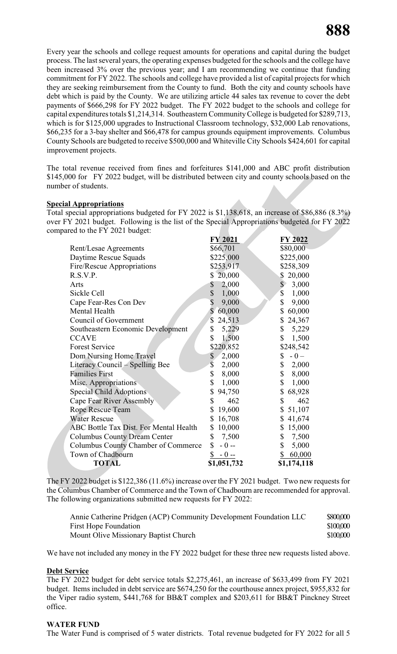Every year the schools and college request amounts for operations and capital during the budget process. The last several years, the operating expenses budgeted for the schools and the college have been increased 3% over the previous year; and I am recommending we continue that funding commitment for FY 2022. The schools and college have provided a list of capital projects for which they are seeking reimbursement from the County to fund. Both the city and county schools have debt which is paid by the County. We are utilizing article 44 sales tax revenue to cover the debt payments of \$666,298 for FY 2022 budget. The FY 2022 budget to the schools and college for capital expenditures totals \$1,214,314. Southeastern CommunityCollege is budgeted for \$289,713, which is for \$125,000 upgrades to Instructional Classroom technology, \$32,000 Lab renovations, \$66,235 for a 3-bay shelter and \$66,478 for campus grounds equipment improvements. Columbus County Schools are budgeted to receive \$500,000 and Whiteville City Schools \$424,601 for capital improvement projects.

The total revenue received from fines and forfeitures \$141,000 and ABC profit distribution \$145,000 for FY 2022 budget, will be distributed between city and county schools based on the number of students.

#### **Special Appropriations**

Total special appropriations budgeted for FY 2022 is \$1,138,618, an increase of \$86,886 (8.3%) over FY 2021 budget. Following is the list of the Special Appropriations budgeted for FY 2022 compared to the FY 2021 budget:

|                                               | FY 2021      | FY 2022                |
|-----------------------------------------------|--------------|------------------------|
| Rent/Lesae Agreements                         | \$66,701     | \$80,000               |
| Daytime Rescue Squads                         | \$225,000    | \$225,000              |
| Fire/Rescue Appropriations                    | \$253,917    | \$258,309              |
| R.S.V.P.                                      | 20,000<br>\$ | \$ 20,000              |
| Arts                                          | 2,000<br>\$  | 3,000<br>$\mathcal{S}$ |
| Sickle Cell                                   | \$<br>1,000  | $\mathsf{\$}$<br>1,000 |
| Cape Fear-Res Con Dev                         | \$<br>9,000  | \$<br>9,000            |
| Mental Health                                 | \$<br>60,000 | 60,000<br>\$           |
| Council of Government                         | \$<br>24,513 | \$<br>24,367           |
| Southeastern Economic Development             | \$<br>5,229  | \$<br>5,229            |
| <b>CCAVE</b>                                  | \$<br>1,500  | \$<br>1,500            |
| <b>Forest Service</b>                         | \$220,852    | \$248,542              |
| Dom Nursing Home Travel                       | 2,000<br>\$  | $-0-$<br>\$            |
| Literacy Council – Spelling Bee               | \$<br>2,000  | 2,000<br>\$            |
| <b>Families First</b>                         | \$<br>8,000  | \$<br>8,000            |
| Misc. Appropriations                          | \$<br>1,000  | \$<br>1,000            |
| <b>Special Child Adoptions</b>                | \$<br>94,750 | \$<br>68,928           |
| Cape Fear River Assembly                      | \$<br>462    | \$<br>462              |
| <b>Rope Rescue Team</b>                       | \$<br>19,600 | 51,107<br>\$           |
| <b>Water Rescue</b>                           | 16,708<br>\$ | \$<br>41,674           |
| <b>ABC Bottle Tax Dist. For Mental Health</b> | 10,000<br>\$ | \$<br>15,000           |
| <b>Columbus County Dream Center</b>           | \$<br>7,500  | \$<br>7,500            |
| <b>Columbus County Chamber of Commerce</b>    | $-0 -$<br>\$ | \$<br>5,000            |
| Town of Chadbourn                             | $-0 -$       | 60,000<br>\$           |
| <b>TOTAL</b>                                  | \$1,051,732  | \$1,174,118            |

The FY 2022 budget is \$122,386 (11.6%) increase over the FY 2021 budget. Two new requests for the Columbus Chamber of Commerce and the Town of Chadbourn are recommended for approval. The following organizations submitted new requests for FY 2022:

| Annie Catherine Pridgen (ACP) Community Development Foundation LLC | \$800,000 |
|--------------------------------------------------------------------|-----------|
| <b>First Hope Foundation</b>                                       | \$100,000 |
| Mount Olive Missionary Baptist Church                              | \$100,000 |

We have not included any money in the FY 2022 budget for these three new requests listed above.

#### **Debt Service**

The FY 2022 budget for debt service totals \$2,275,461, an increase of \$633,499 from FY 2021 budget. Items included in debt service are \$674,250 for the courthouse annex project, \$955,832 for the Viper radio system, \$441,768 for BB&T complex and \$203,611 for BB&T Pinckney Street office.

#### **WATER FUND**

The Water Fund is comprised of 5 water districts. Total revenue budgeted for FY 2022 for all 5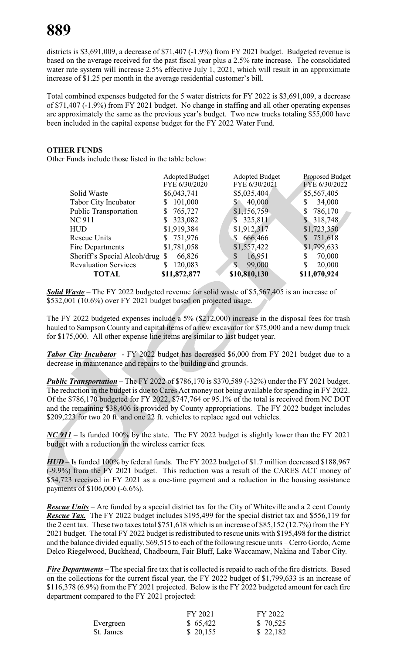# **889**

districts is \$3,691,009, a decrease of \$71,407 (-1.9%) from FY 2021 budget. Budgeted revenue is based on the average received for the past fiscal year plus a 2.5% rate increase. The consolidated water rate system will increase 2.5% effective July 1, 2021, which will result in an approximate increase of \$1.25 per month in the average residential customer's bill.

Total combined expenses budgeted for the 5 water districts for FY 2022 is \$3,691,009, a decrease of \$71,407 (-1.9%) from FY 2021 budget. No change in staffing and all other operating expenses are approximately the same as the previous year's budget. Two new trucks totaling \$55,000 have been included in the capital expense budget for the FY 2022 Water Fund.

# **OTHER FUNDS**

Other Funds include those listed in the table below:

|                                 | Adopted Budget | <b>Adopted Budget</b>  | Proposed Budget           |
|---------------------------------|----------------|------------------------|---------------------------|
|                                 | FYE 6/30/2020  | FYE 6/30/2021          | FYE 6/30/2022             |
| Solid Waste                     | \$6,043,741    | \$5,035,404            | \$5,567,405               |
| Tabor City Incubator            | 101,000<br>S.  | 40,000<br>$S^{\circ}$  | 34,000<br>\$              |
| <b>Public Transportation</b>    | 765,727<br>S   | \$1,156,759            | 786,170<br>\$             |
| <b>NC 911</b>                   | 323,082<br>S   | 325,811<br>S.          | 318,748<br><sup>S</sup>   |
| <b>HUD</b>                      | \$1,919,384    | \$1,912,317            | \$1,723,350               |
| <b>Rescue Units</b>             | \$751,976      | 666,466<br>S           | 751,618<br>$\mathbb{S}^-$ |
| Fire Departments                | \$1,781,058    | \$1,557,422            | \$1,799,633               |
| Sheriff's Special Alcoh/drug \$ | 66,826         | 16,951<br>$\mathbb{S}$ | \$<br>70,000              |
| <b>Revaluation Services</b>     | 120,083<br>S   | 99,000<br>$\mathbb{S}$ | \$<br>20,000              |
| <b>TOTAL</b>                    | \$11,872,877   | \$10,810,130           | \$11,070,924              |

*Solid Waste* – The FY 2022 budgeted revenue for solid waste of \$5,567,405 is an increase of \$532,001 (10.6%) over FY 2021 budget based on projected usage.

The FY 2022 budgeted expenses include a 5% (\$212,000) increase in the disposal fees for trash hauled to Sampson County and capital items of a new excavator for \$75,000 and a new dump truck for \$175,000. All other expense line items are similar to last budget year.

*Tabor City Incubator* - FY 2022 budget has decreased \$6,000 from FY 2021 budget due to a decrease in maintenance and repairs to the building and grounds.

*Public Transportation* – The FY 2022 of \$786,170 is \$370,589 (-32%) under the FY 2021 budget. The reduction in the budget is due to Cares Act money not being available for spending in FY 2022. Of the \$786,170 budgeted for FY 2022, \$747,764 or 95.1% of the total is received from NC DOT and the remaining \$38,406 is provided by County appropriations. The FY 2022 budget includes \$209,223 for two 20 ft. and one 22 ft. vehicles to replace aged out vehicles.

*NC* 911 – Is funded 100% by the state. The FY 2022 budget is slightly lower than the FY 2021 budget with a reduction in the wireless carrier fees.

*HUD* – Is funded 100% by federal funds. The FY 2022 budget of \$1.7 million decreased \$188,967 (-9.9%) from the FY 2021 budget. This reduction was a result of the CARES ACT money of \$54,723 received in FY 2021 as a one-time payment and a reduction in the housing assistance payments of \$106,000 (-6.6%).

*Rescue Units* – Are funded by a special district tax for the City of Whiteville and a 2 cent County *Rescue Tax.* The FY 2022 budget includes \$195,499 for the special district tax and \$556,119 for the 2 cent tax. These two taxes total \$751,618 which is an increase of \$85,152 (12.7%) from the FY 2021 budget. The total FY 2022 budget is redistributed to rescue units with \$195,498 for the district and the balance divided equally, \$69,515 to each of the following rescue units – Cerro Gordo, Acme Delco Riegelwood, Buckhead, Chadbourn, Fair Bluff, Lake Waccamaw, Nakina and Tabor City.

*Fire Departments* – The special fire tax that is collected is repaid to each of the fire districts. Based on the collections for the current fiscal year, the FY 2022 budget of \$1,799,633 is an increase of \$116,378 (6.9%) from the FY 2021 projected. Below is the FY 2022 budgeted amount for each fire department compared to the FY 2021 projected:

|           | FY 2021  | FY 2022  |
|-----------|----------|----------|
| Evergreen | \$65,422 | \$70,525 |
| St. James | \$20,155 | \$22,182 |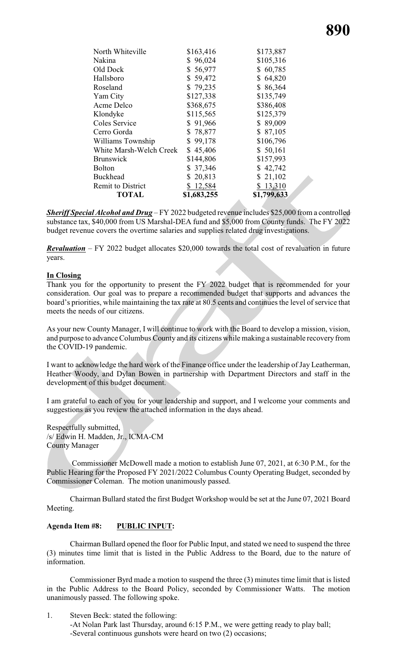|              | \$1,799,633             |
|--------------|-------------------------|
|              | \$13,310                |
| 20,813<br>S. | 21,102                  |
| \$37,346     | \$42,742                |
| \$144,806    | \$157,993               |
| \$45,406     | \$50,161                |
| 99,178<br>S  | \$106,796               |
| \$78,877     | \$87,105                |
| \$91,966     | \$89,009                |
| \$115,565    | \$125,379               |
| \$368,675    | \$386,408               |
| \$127,338    | \$135,749               |
| \$79,235     | \$86,364                |
| \$59,472     | 64,820<br>S.            |
| \$56,977     | \$60,785                |
| \$96,024     | \$105,316               |
| \$163,416    | \$173,887               |
|              | \$12,584<br>\$1,683,255 |

*Sheriff Special Alcohol and Drug* – FY 2022 budgeted revenue includes \$25,000 from a controlled substance tax, \$40,000 from US Marshal-DEA fund and \$5,000 from County funds. The FY 2022 budget revenue covers the overtime salaries and supplies related drug investigations.

*Revaluation* – FY 2022 budget allocates \$20,000 towards the total cost of revaluation in future years.

# **In Closing**

Thank you for the opportunity to present the FY 2022 budget that is recommended for your consideration. Our goal was to prepare a recommended budget that supports and advances the board's priorities, while maintaining the tax rate at 80.5 cents and continues the level of service that meets the needs of our citizens.

As your new County Manager, I will continue to work with the Board to develop a mission, vision, and purpose to advance Columbus County and its citizens while making a sustainable recoveryfrom the COVID-19 pandemic.

I want to acknowledge the hard work of the Finance office under the leadership of Jay Leatherman, Heather Woody, and Dylan Bowen in partnership with Department Directors and staff in the development of this budget document.

I am grateful to each of you for your leadership and support, and I welcome your comments and suggestions as you review the attached information in the days ahead.

Respectfully submitted, /s/ Edwin H. Madden, Jr., ICMA-CM County Manager

 Commissioner McDowell made a motion to establish June 07, 2021, at 6:30 P.M., for the Public Hearing for the Proposed FY 2021/2022 Columbus County Operating Budget, seconded by Commissioner Coleman. The motion unanimously passed.

Chairman Bullard stated the first Budget Workshop would be set at the June 07, 2021 Board Meeting.

#### **Agenda Item #8: PUBLIC INPUT:**

Chairman Bullard opened the floor for Public Input, and stated we need to suspend the three (3) minutes time limit that is listed in the Public Address to the Board, due to the nature of information.

Commissioner Byrd made a motion to suspend the three (3) minutes time limit that is listed in the Public Address to the Board Policy, seconded by Commissioner Watts. The motion unanimously passed. The following spoke.

1. Steven Beck: stated the following: -At Nolan Park last Thursday, around 6:15 P.M., we were getting ready to play ball; -Several continuous gunshots were heard on two (2) occasions;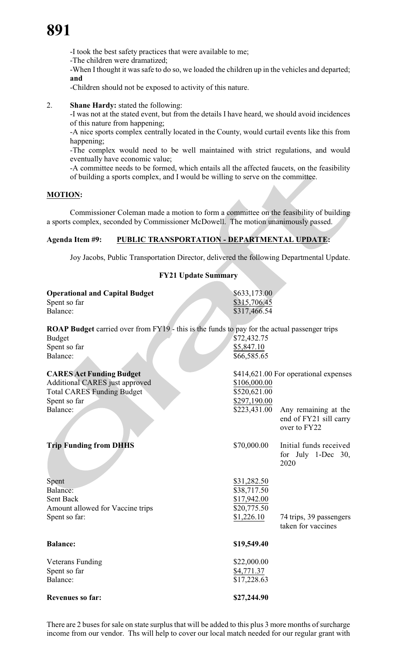-I took the best safety practices that were available to me;

-The children were dramatized;

-When I thought it was safe to do so, we loaded the children up in the vehicles and departed; **and**

-Children should not be exposed to activity of this nature.

# 2. **Shane Hardy:** stated the following:

-I was not at the stated event, but from the details I have heard, we should avoid incidences of this nature from happening;

-A nice sports complex centrally located in the County, would curtail events like this from happening;

-The complex would need to be well maintained with strict regulations, and would eventually have economic value;

-A committee needs to be formed, which entails all the affected faucets, on the feasibility of building a sports complex, and I would be willing to serve on the committee.

# **MOTION:**

Commissioner Coleman made a motion to form a committee on the feasibility of building a sports complex, seconded by Commissioner McDowell. The motion unanimously passed.

# **Agenda Item #9: PUBLIC TRANSPORTATION - DEPARTMENTAL UPDATE:**

Joy Jacobs, Public Transportation Director, delivered the following Departmental Update.

# **FY21 Update Summary**

| <b>Operational and Capital Budget</b><br>Spent so far<br>Balance:                                                                                | \$633,173.00<br>\$315,706.45<br>\$317,466.54                           |                                                                                                         |
|--------------------------------------------------------------------------------------------------------------------------------------------------|------------------------------------------------------------------------|---------------------------------------------------------------------------------------------------------|
| <b>ROAP Budget</b> carried over from FY19 - this is the funds to pay for the actual passenger trips<br><b>Budget</b><br>Spent so far<br>Balance: | \$72,432.75<br>\$5,847.10<br>\$66,585.65                               |                                                                                                         |
| <b>CARES Act Funding Budget</b><br>Additional CARES just approved<br><b>Total CARES Funding Budget</b><br>Spent so far<br>Balance:               | \$106,000.00<br>\$520,621.00<br>\$297,190.00<br>\$223,431.00           | \$414,621.00 For operational expenses<br>Any remaining at the<br>end of FY21 sill carry<br>over to FY22 |
| <b>Trip Funding from DHHS</b>                                                                                                                    | \$70,000.00                                                            | Initial funds received<br>for July 1-Dec 30,<br>2020                                                    |
| Spent<br>Balance:<br>Sent Back<br>Amount allowed for Vaccine trips<br>Spent so far:                                                              | \$31,282.50<br>\$38,717.50<br>\$17,942.00<br>\$20,775.50<br>\$1,226.10 | 74 trips, 39 passengers<br>taken for vaccines                                                           |
| <b>Balance:</b>                                                                                                                                  | \$19,549.40                                                            |                                                                                                         |
| <b>Veterans Funding</b><br>Spent so far<br>Balance:                                                                                              | \$22,000.00<br>\$4,771.37<br>\$17,228.63                               |                                                                                                         |
| <b>Revenues so far:</b>                                                                                                                          | \$27,244.90                                                            |                                                                                                         |

There are 2 buses for sale on state surplus that will be added to this plus 3 more months of surcharge income from our vendor. Ths will help to cover our local match needed for our regular grant with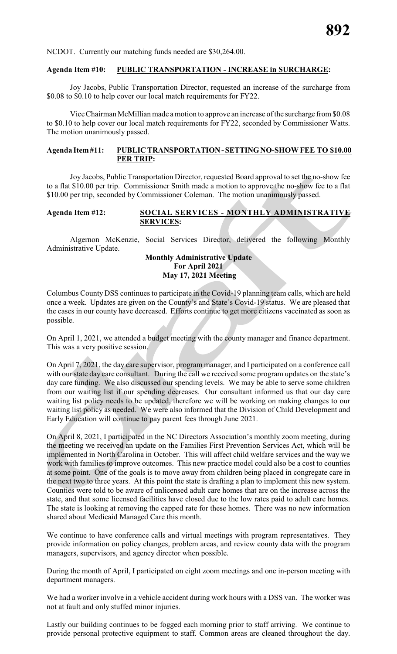NCDOT. Currently our matching funds needed are \$30,264.00.

#### **Agenda Item #10: PUBLIC TRANSPORTATION - INCREASE in SURCHARGE:**

Joy Jacobs, Public Transportation Director, requested an increase of the surcharge from \$0.08 to \$0.10 to help cover our local match requirements for FY22.

Vice Chairman McMillian made a motion to approve an increase of the surcharge from \$0.08 to \$0.10 to help cover our local match requirements for FY22, seconded by Commissioner Watts. The motion unanimously passed.

#### **Agenda Item#11: PUBLIC TRANSPORTATION-SETTINGNO-SHOW FEE TO \$10.00 PER TRIP:**

Joy Jacobs, Public Transportation Director, requested Board approval to set the no-show fee to a flat \$10.00 per trip. Commissioner Smith made a motion to approve the no-show fee to a flat \$10.00 per trip, seconded by Commissioner Coleman. The motion unanimously passed.

#### **Agenda Item #12: SOCIAL SERVICES - MONTHLY ADMINISTRATIVE SERVICES:**

Algernon McKenzie, Social Services Director, delivered the following Monthly Administrative Update.

### **Monthly Administrative Update For April 2021 May 17, 2021 Meeting**

Columbus County DSS continues to participate in the Covid-19 planning team calls, which are held once a week. Updates are given on the County's and State's Covid-19 status. We are pleased that the cases in our county have decreased. Efforts continue to get more citizens vaccinated as soon as possible.

On April 1, 2021, we attended a budget meeting with the county manager and finance department. This was a very positive session.

On April 7, 2021, the day care supervisor, program manager, and I participated on a conference call with our state day care consultant. During the call we received some program updates on the state's day care funding. We also discussed our spending levels. We may be able to serve some children from our waiting list if our spending decreases. Our consultant informed us that our day care waiting list policy needs to be updated, therefore we will be working on making changes to our waiting list policy as needed. We were also informed that the Division of Child Development and Early Education will continue to pay parent fees through June 2021.

On April 8, 2021, I participated in the NC Directors Association's monthly zoom meeting, during the meeting we received an update on the Families First Prevention Services Act, which will be implemented in North Carolina in October. This will affect child welfare services and the way we work with families to improve outcomes. This new practice model could also be a cost to counties at some point. One of the goals is to move away from children being placed in congregate care in the next two to three years. At this point the state is drafting a plan to implement this new system. Counties were told to be aware of unlicensed adult care homes that are on the increase across the state, and that some licensed facilities have closed due to the low rates paid to adult care homes. The state is looking at removing the capped rate for these homes. There was no new information shared about Medicaid Managed Care this month.

We continue to have conference calls and virtual meetings with program representatives. They provide information on policy changes, problem areas, and review county data with the program managers, supervisors, and agency director when possible.

During the month of April, I participated on eight zoom meetings and one in-person meeting with department managers.

We had a worker involve in a vehicle accident during work hours with a DSS van. The worker was not at fault and only stuffed minor injuries.

Lastly our building continues to be fogged each morning prior to staff arriving. We continue to provide personal protective equipment to staff. Common areas are cleaned throughout the day.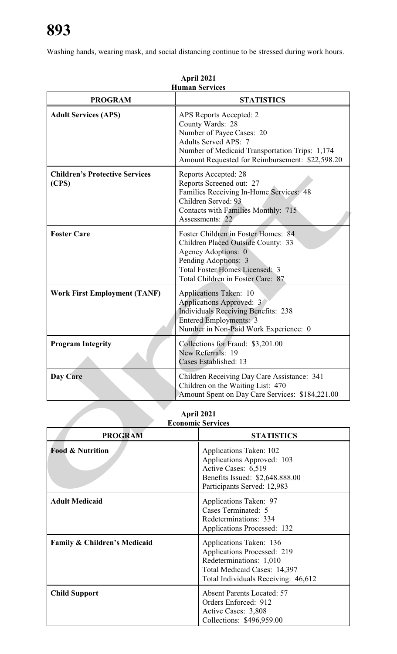Washing hands, wearing mask, and social distancing continue to be stressed during work hours.

| <b>Human Services</b>                          |                                                                                                                                                                                                              |  |
|------------------------------------------------|--------------------------------------------------------------------------------------------------------------------------------------------------------------------------------------------------------------|--|
| <b>PROGRAM</b>                                 | <b>STATISTICS</b>                                                                                                                                                                                            |  |
| <b>Adult Services (APS)</b>                    | APS Reports Accepted: 2<br>County Wards: 28<br>Number of Payee Cases: 20<br><b>Adults Served APS: 7</b><br>Number of Medicaid Transportation Trips: 1,174<br>Amount Requested for Reimbursement: \$22,598.20 |  |
| <b>Children's Protective Services</b><br>(CPS) | Reports Accepted: 28<br>Reports Screened out: 27<br>Families Receiving In-Home Services: 48<br>Children Served: 93<br>Contacts with Families Monthly: 715<br>Assessments: 22                                 |  |
| <b>Foster Care</b>                             | Foster Children in Foster Homes: 84<br>Children Placed Outside County: 33<br>Agency Adoptions: 0<br>Pending Adoptions: 3<br><b>Total Foster Homes Licensed: 3</b><br>Total Children in Foster Care: 87       |  |
| <b>Work First Employment (TANF)</b>            | Applications Taken: 10<br>Applications Approved: 3<br><b>Individuals Receiving Benefits: 238</b><br><b>Entered Employments: 3</b><br>Number in Non-Paid Work Experience: 0                                   |  |
| <b>Program Integrity</b>                       | Collections for Fraud: \$3,201.00<br>New Referrals: 19<br>Cases Established: 13                                                                                                                              |  |
| Day Care                                       | Children Receiving Day Care Assistance: 341<br>Children on the Waiting List: 470<br>Amount Spent on Day Care Services: \$184,221.00                                                                          |  |

**April 2021**

**April 2021 Economic Services**

|                                         | есопонне эсі уісея                                                                                                                                       |
|-----------------------------------------|----------------------------------------------------------------------------------------------------------------------------------------------------------|
| <b>PROGRAM</b>                          | <b>STATISTICS</b>                                                                                                                                        |
| <b>Food &amp; Nutrition</b>             | Applications Taken: 102<br>Applications Approved: 103<br>Active Cases: 6,519<br>Benefits Issued: \$2,648.888.00<br>Participants Served: 12,983           |
| <b>Adult Medicaid</b>                   | Applications Taken: 97<br>Cases Terminated: 5<br>Redeterminations: 334<br>Applications Processed: 132                                                    |
| <b>Family &amp; Children's Medicaid</b> | Applications Taken: 136<br>Applications Processed: 219<br>Redeterminations: 1,010<br>Total Medicaid Cases: 14,397<br>Total Individuals Receiving: 46,612 |
| <b>Child Support</b>                    | <b>Absent Parents Located: 57</b><br>Orders Enforced: 912<br>Active Cases: 3,808<br>Collections: \$496,959.00                                            |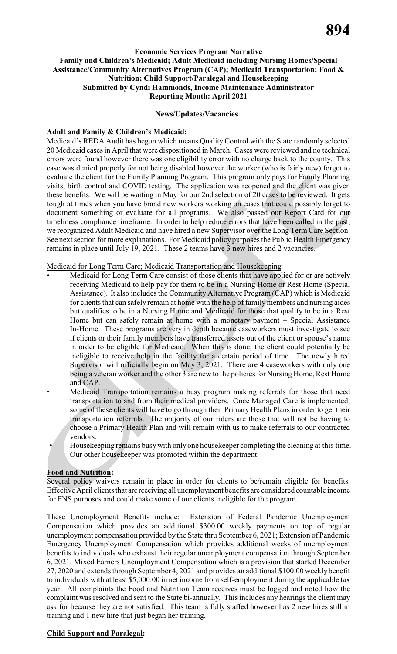# **894**

#### **Economic Services Program Narrative Family and Children's Medicaid; Adult Medicaid including Nursing Homes/Special Assistance/Community Alternatives Program (CAP); Medicaid Transportation; Food & Nutrition; Child Support/Paralegal and Housekeeping Submitted by Cyndi Hammonds, Income Maintenance Administrator Reporting Month: April 2021**

#### **News/Updates/Vacancies**

#### **Adult and Family & Children's Medicaid:**

Medicaid's REDA Audit has begun which means Quality Control with the State randomly selected 20 Medicaid cases in April that were dispositioned in March. Cases were reviewed and no technical errors were found however there was one eligibility error with no charge back to the county. This case was denied properly for not being disabled however the worker (who is fairly new) forgot to evaluate the client for the Family Planning Program. This program only pays for Family Planning visits, birth control and COVID testing. The application was reopened and the client was given these benefits. We will be waiting in May for our 2nd selection of 20 cases to be reviewed. It gets tough at times when you have brand new workers working on cases that could possibly forget to document something or evaluate for all programs. We also passed our Report Card for our timeliness compliance timeframe. In order to help reduce errors that have been called in the past, we reorganized Adult Medicaid and have hired a new Supervisor over the Long Term Care Section. See next section for more explanations. For Medicaid policy purposes the Public Health Emergency remains in place until July 19, 2021. These 2 teams have 3 new hires and 2 vacancies.

#### Medicaid for Long Term Care; Medicaid Transportation and Housekeeping:

- Medicaid for Long Term Care consist of those clients that have applied for or are actively receiving Medicaid to help pay for them to be in a Nursing Home or Rest Home (Special Assistance). It also includes the Community Alternative Program (CAP) which is Medicaid for clients that can safely remain at home with the help of family members and nursing aides but qualifies to be in a Nursing Home and Medicaid for those that qualify to be in a Rest Home but can safely remain at home with a monetary payment – Special Assistance In-Home. These programs are very in depth because caseworkers must investigate to see if clients or their family members have transferred assets out of the client or spouse's name in order to be eligible for Medicaid. When this is done, the client could potentially be ineligible to receive help in the facility for a certain period of time. The newly hired Supervisor will officially begin on May 3, 2021. There are 4 caseworkers with only one being a veteran worker and the other  $\overline{3}$  are new to the policies for Nursing Home, Rest Home and CAP.
	- Medicaid Transportation remains a busy program making referrals for those that need transportation to and from their medical providers. Once Managed Care is implemented, some of these clients will have to go through their Primary Health Plans in order to get their transportation referrals. The majority of our riders are those that will not be having to choose a Primary Health Plan and will remain with us to make referrals to our contracted vendors.
	- Housekeeping remains busywith only one housekeeper completing the cleaning at this time. Our other housekeeper was promoted within the department.

#### l **Food and Nutrition:**

Several policy waivers remain in place in order for clients to be/remain eligible for benefits. Effective April clients that are receiving all unemployment benefits are considered countable income for FNS purposes and could make some of our clients ineligible for the program.

These Unemployment Benefits include: Extension of Federal Pandemic Unemployment Compensation which provides an additional \$300.00 weekly payments on top of regular unemployment compensation provided by the State thru September 6, 2021; Extension of Pandemic Emergency Unemployment Compensation which provides additional weeks of unemployment benefits to individuals who exhaust their regular unemployment compensation through September 6, 2021; Mixed Earners Unemployment Compensation which is a provision that started December 27, 2020 and extends through September 4, 2021 and provides an additional \$100.00 weekly benefit to individuals with at least \$5,000.00 in net income from self-employment during the applicable tax year. All complaints the Food and Nutrition Team receives must be logged and noted how the complaint was resolved and sent to the State bi-annually. This includes any hearings the client may ask for because they are not satisfied. This team is fully staffed however has 2 new hires still in training and 1 new hire that just began her training.

#### **Child Support and Paralegal:**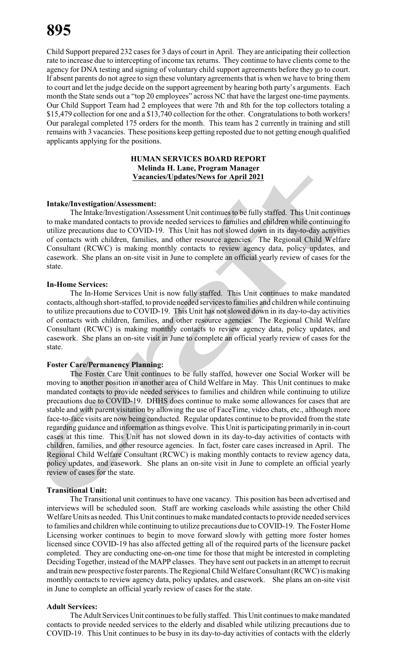Child Support prepared 232 cases for 3 days of court in April. They are anticipating their collection rate to increase due to intercepting of income tax returns. They continue to have clients come to the agency for DNA testing and signing of voluntary child support agreements before they go to court. If absent parents do not agree to sign these voluntary agreements that is when we have to bring them to court and let the judge decide on the support agreement by hearing both party's arguments. Each month the State sends out a "top 20 employees" across NC that have the largest one-time payments. Our Child Support Team had 2 employees that were 7th and 8th for the top collectors totaling a \$15,479 collection for one and a \$13,740 collection for the other. Congratulations to both workers! Our paralegal completed 175 orders for the month. This team has 2 currently in training and still remains with 3 vacancies. These positions keep getting reposted due to not getting enough qualified applicants applying for the positions.

#### **HUMAN SERVICES BOARD REPORT Melinda H. Lane, Program Manager Vacancies/Updates/News for April 2021**

#### **Intake/Investigation/Assessment:**

The Intake/Investigation/Assessment Unit continues to be fully staffed. This Unit continues to make mandated contacts to provide needed services to families and children while continuing to utilize precautions due to COVID-19. This Unit has not slowed down in its day-to-day activities of contacts with children, families, and other resource agencies. The Regional Child Welfare Consultant (RCWC) is making monthly contacts to review agency data, policy updates, and casework. She plans an on-site visit in June to complete an official yearly review of cases for the state.

#### **In-Home Services:**

The In-Home Services Unit is now fully staffed. This Unit continues to make mandated contacts, although short-staffed, to provide needed services to families and children while continuing to utilize precautions due to COVID-19. This Unit has not slowed down in its day-to-day activities of contacts with children, families, and other resource agencies. The Regional Child Welfare Consultant (RCWC) is making monthly contacts to review agency data, policy updates, and casework. She plans an on-site visit in June to complete an official yearly review of cases for the state.

#### **Foster Care/Permanency Planning:**

The Foster Care Unit continues to be fully staffed, however one Social Worker will be moving to another position in another area of Child Welfare in May. This Unit continues to make mandated contacts to provide needed services to families and children while continuing to utilize precautions due to COVID-19. DHHS does continue to make some allowances for cases that are stable and with parent visitation by allowing the use of FaceTime, video chats, etc., although more face-to-face visits are now being conducted. Regular updates continue to be provided from the state regarding guidance and information as things evolve. This Unit is participating primarily in in-court cases at this time. This Unit has not slowed down in its day-to-day activities of contacts with children, families, and other resource agencies. In fact, foster care cases increased in April. The Regional Child Welfare Consultant (RCWC) is making monthly contacts to review agency data, policy updates, and casework. She plans an on-site visit in June to complete an official yearly review of cases for the state.

#### **Transitional Unit:**

The Transitional unit continues to have one vacancy. This position has been advertised and interviews will be scheduled soon. Staff are working caseloads while assisting the other Child Welfare Units as needed. This Unit continues to make mandated contacts to provide needed services to families and children while continuing to utilize precautions due to COVID-19. The Foster Home Licensing worker continues to begin to move forward slowly with getting more foster homes licensed since COVID-19 has also affected getting all of the required parts of the licensure packet completed. They are conducting one-on-one time for those that might be interested in completing Deciding Together, instead of the MAPP classes. They have sent out packets in an attempt to recruit and train new prospective foster parents. The Regional Child Welfare Consultant (RCWC) is making monthly contacts to review agency data, policy updates, and casework. She plans an on-site visit in June to complete an official yearly review of cases for the state.

#### **Adult Services:**

The Adult Services Unit continues to be fully staffed. This Unit continues to make mandated contacts to provide needed services to the elderly and disabled while utilizing precautions due to COVID-19. This Unit continues to be busy in its day-to-day activities of contacts with the elderly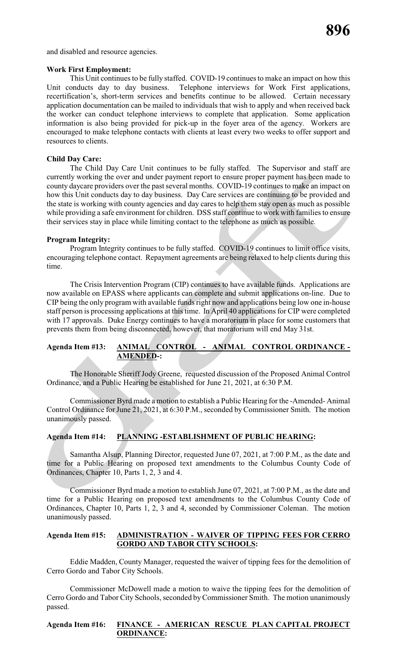and disabled and resource agencies.

#### **Work First Employment:**

This Unit continues to be fully staffed. COVID-19 continues to make an impact on how this Unit conducts day to day business. Telephone interviews for Work First applications, recertification's, short-term services and benefits continue to be allowed. Certain necessary application documentation can be mailed to individuals that wish to apply and when received back the worker can conduct telephone interviews to complete that application. Some application information is also being provided for pick-up in the foyer area of the agency. Workers are encouraged to make telephone contacts with clients at least every two weeks to offer support and resources to clients.

#### **Child Day Care:**

The Child Day Care Unit continues to be fully staffed. The Supervisor and staff are currently working the over and under payment report to ensure proper payment has been made to county daycare providers over the past several months. COVID-19 continues to make an impact on how this Unit conducts day to day business. Day Care services are continuing to be provided and the state is working with county agencies and day cares to help them stay open as much as possible while providing a safe environment for children. DSS staff continue to work with families to ensure their services stay in place while limiting contact to the telephone as much as possible.

#### **Program Integrity:**

Program Integrity continues to be fully staffed. COVID-19 continues to limit office visits, encouraging telephone contact. Repayment agreements are being relaxed to help clients during this time.

The Crisis Intervention Program (CIP) continues to have available funds. Applications are now available on EPASS where applicants can complete and submit applications on-line. Due to CIP being the only program with available funds right now and applications being low one in-house staff person is processing applications at this time. In April 40 applications for CIP were completed with 17 approvals. Duke Energy continues to have a moratorium in place for some customers that prevents them from being disconnected, however, that moratorium will end May 31st.

# **Agenda Item #13: ANIMAL CONTROL - ANIMAL CONTROL ORDINANCE - AMENDED-:**

The Honorable Sheriff Jody Greene, requested discussion of the Proposed Animal Control Ordinance, and a Public Hearing be established for June 21, 2021, at 6:30 P.M.

Commissioner Byrd made a motion to establish a Public Hearing for the -Amended- Animal Control Ordinance for June 21, 2021, at 6:30 P.M., seconded by Commissioner Smith. The motion unanimously passed.

#### **Agenda Item #14: PLANNING -ESTABLISHMENT OF PUBLIC HEARING:**

Samantha Alsup, Planning Director, requested June 07, 2021, at 7:00 P.M., as the date and time for a Public Hearing on proposed text amendments to the Columbus County Code of Ordinances, Chapter 10, Parts 1, 2, 3 and 4.

Commissioner Byrd made a motion to establish June 07, 2021, at 7:00 P.M., as the date and time for a Public Hearing on proposed text amendments to the Columbus County Code of Ordinances, Chapter 10, Parts 1, 2, 3 and 4, seconded by Commissioner Coleman. The motion unanimously passed.

### **Agenda Item #15: ADMINISTRATION - WAIVER OF TIPPING FEES FOR CERRO GORDO AND TABOR CITY SCHOOLS:**

Eddie Madden, County Manager, requested the waiver of tipping fees for the demolition of Cerro Gordo and Tabor City Schools.

Commissioner McDowell made a motion to waive the tipping fees for the demolition of Cerro Gordo and Tabor City Schools, seconded byCommissioner Smith. The motion unanimously passed.

# **Agenda Item #16: FINANCE - AMERICAN RESCUE PLAN CAPITAL PROJECT ORDINANCE:**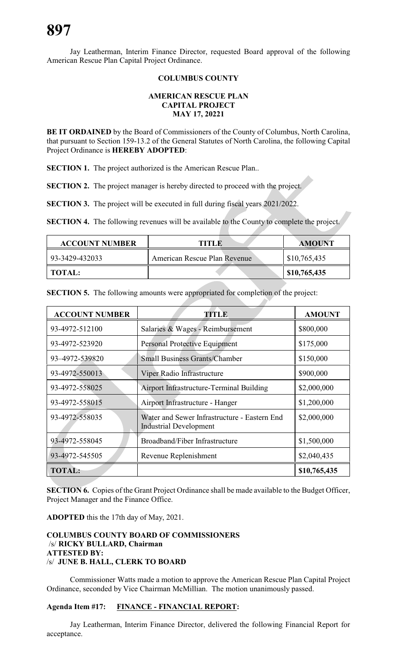Jay Leatherman, Interim Finance Director, requested Board approval of the following American Rescue Plan Capital Project Ordinance.

### **COLUMBUS COUNTY**

#### **AMERICAN RESCUE PLAN CAPITAL PROJECT MAY 17, 20221**

**BE IT ORDAINED** by the Board of Commissioners of the County of Columbus, North Carolina, that pursuant to Section 159-13.2 of the General Statutes of North Carolina, the following Capital Project Ordinance is **HEREBY ADOPTED**:

**SECTION 1.** The project authorized is the American Rescue Plan..

**SECTION 2.** The project manager is hereby directed to proceed with the project.

**SECTION 3.** The project will be executed in full during fiscal years 2021/2022.

**SECTION 4.** The following revenues will be available to the County to complete the project.

| <b>ACCOUNT NUMBER</b> | TITLE                        | <b>AMOUNT</b> |
|-----------------------|------------------------------|---------------|
| 93-3429-432033        | American Rescue Plan Revenue | \$10,765,435  |
| <b>TOTAL:</b>         |                              | \$10,765,435  |

**SECTION 5.** The following amounts were appropriated for completion of the project:

| <b>ACCOUNT NUMBER</b> | <b>TITLE</b>                                                                  | <b>AMOUNT</b> |
|-----------------------|-------------------------------------------------------------------------------|---------------|
| 93-4972-512100        | Salaries & Wages - Reimbursement                                              | \$800,000     |
| 93-4972-523920        | <b>Personal Protective Equipment</b>                                          | \$175,000     |
| 93-4972-539820        | <b>Small Business Grants/Chamber</b>                                          | \$150,000     |
| 93-4972-550013        | Viper Radio Infrastructure                                                    | \$900,000     |
| 93-4972-558025        | Airport Infrastructure-Terminal Building                                      | \$2,000,000   |
| 93-4972-558015        | Airport Infrastructure - Hanger                                               | \$1,200,000   |
| 93-4972-558035        | Water and Sewer Infrastructure - Eastern End<br><b>Industrial Development</b> | \$2,000,000   |
| 93-4972-558045        | Broadband/Fiber Infrastructure                                                | \$1,500,000   |
| 93-4972-545505        | Revenue Replenishment                                                         | \$2,040,435   |
| <b>TOTAL:</b>         |                                                                               | \$10,765,435  |

**SECTION 6.** Copies of the Grant Project Ordinance shall be made available to the Budget Officer, Project Manager and the Finance Office.

**ADOPTED** this the 17th day of May, 2021.

#### **COLUMBUS COUNTY BOARD OF COMMISSIONERS** /s/ **RICKY BULLARD, Chairman ATTESTED BY:**  /s/ **JUNE B. HALL, CLERK TO BOARD**

Commissioner Watts made a motion to approve the American Rescue Plan Capital Project Ordinance, seconded by Vice Chairman McMillian. The motion unanimously passed.

# **Agenda Item #17: FINANCE - FINANCIAL REPORT:**

Jay Leatherman, Interim Finance Director, delivered the following Financial Report for acceptance.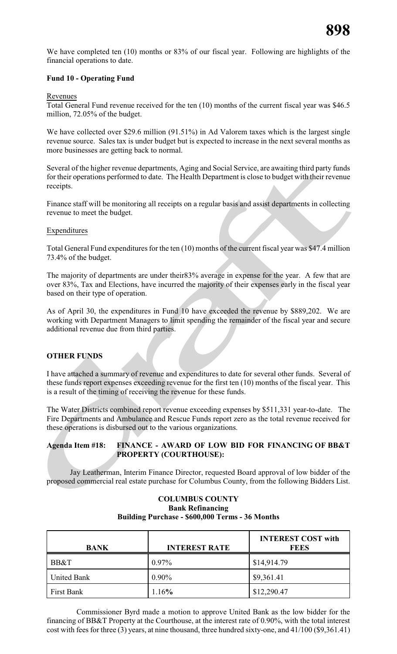We have completed ten (10) months or 83% of our fiscal year. Following are highlights of the financial operations to date.

# **Fund 10 - Operating Fund**

#### Revenues

Total General Fund revenue received for the ten (10) months of the current fiscal year was \$46.5 million, 72.05% of the budget.

We have collected over \$29.6 million (91.51%) in Ad Valorem taxes which is the largest single revenue source. Sales tax is under budget but is expected to increase in the next several months as more businesses are getting back to normal.

Several of the higher revenue departments, Aging and Social Service, are awaiting third party funds for their operations performed to date. The Health Department is close to budget with their revenue receipts.

Finance staff will be monitoring all receipts on a regular basis and assist departments in collecting revenue to meet the budget.

#### Expenditures

Total General Fund expenditures for the ten (10) months of the current fiscal year was \$47.4 million 73.4% of the budget.

The majority of departments are under their83% average in expense for the year. A few that are over 83%, Tax and Elections, have incurred the majority of their expenses early in the fiscal year based on their type of operation.

As of April 30, the expenditures in Fund 10 have exceeded the revenue by \$889,202. We are working with Department Managers to limit spending the remainder of the fiscal year and secure additional revenue due from third parties.

# **OTHER FUNDS**

I have attached a summary of revenue and expenditures to date for several other funds. Several of these funds report expenses exceeding revenue for the first ten (10) months of the fiscal year. This is a result of the timing of receiving the revenue for these funds.

The Water Districts combined report revenue exceeding expenses by \$511,331 year-to-date. The Fire Departments and Ambulance and Rescue Funds report zero as the total revenue received for these operations is disbursed out to the various organizations.

#### **Agenda Item #18: FINANCE - AWARD OF LOW BID FOR FINANCING OF BB&T PROPERTY (COURTHOUSE):**

Jay Leatherman, Interim Finance Director, requested Board approval of low bidder of the proposed commercial real estate purchase for Columbus County, from the following Bidders List.

### **COLUMBUS COUNTY Bank Refinancing Building Purchase - \$600,000 Terms - 36 Months**

| <b>BANK</b> | <b>INTEREST RATE</b> | <b>INTEREST COST with</b><br><b>FEES</b> |
|-------------|----------------------|------------------------------------------|
| BB&T        | $0.97\%$             | \$14,914.79                              |
| United Bank | $0.90\%$             | \$9,361.41                               |
| First Bank  | 1.16%                | \$12,290.47                              |

Commissioner Byrd made a motion to approve United Bank as the low bidder for the financing of BB&T Property at the Courthouse, at the interest rate of 0.90%, with the total interest cost with fees for three (3) years, at nine thousand, three hundred sixty-one, and 41/100 (\$9,361.41)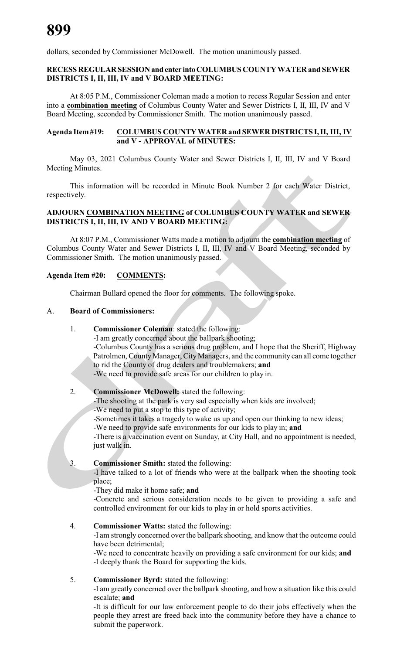dollars, seconded by Commissioner McDowell. The motion unanimously passed.

## **RECESS REGULARSESSIONand enter intoCOLUMBUS COUNTY WATER and SEWER DISTRICTS I, II, III, IV and V BOARD MEETING:**

At 8:05 P.M., Commissioner Coleman made a motion to recess Regular Session and enter into a **combination meeting** of Columbus County Water and Sewer Districts I, II, III, IV and V Board Meeting, seconded by Commissioner Smith. The motion unanimously passed.

### **Agenda Item#19: COLUMBUS COUNTY WATER and SEWER DISTRICTS I, II, III, IV and V - APPROVAL of MINUTES:**

May 03, 2021 Columbus County Water and Sewer Districts I, II, III, IV and V Board Meeting Minutes.

This information will be recorded in Minute Book Number 2 for each Water District, respectively.

# **ADJOURN COMBINATION MEETING of COLUMBUS COUNTY WATER and SEWER DISTRICTS I, II, III, IV AND V BOARD MEETING:**

At 8:07 P.M., Commissioner Watts made a motion to adjourn the **combination meeting** of Columbus County Water and Sewer Districts I, II, III, IV and V Board Meeting, seconded by Commissioner Smith. The motion unanimously passed.

# **Agenda Item #20: COMMENTS:**

Chairman Bullard opened the floor for comments. The following spoke.

# A. **Board of Commissioners:**

- 1. **Commissioner Coleman**: stated the following:
	- -I am greatly concerned about the ballpark shooting; -Columbus County has a serious drug problem, and I hope that the Sheriff, Highway Patrolmen, County Manager, City Managers, and the community can all come together to rid the County of drug dealers and troublemakers; **and** -We need to provide safe areas for our children to play in.

#### 2. **Commissioner McDowell:** stated the following:

-The shooting at the park is very sad especially when kids are involved;

- -We need to put a stop to this type of activity;
- -Sometimes it takes a tragedy to wake us up and open our thinking to new ideas;

-We need to provide safe environments for our kids to play in; **and**

-There is a vaccination event on Sunday, at City Hall, and no appointment is needed, just walk in.

#### 3. **Commissioner Smith:** stated the following:

-I have talked to a lot of friends who were at the ballpark when the shooting took place;

-They did make it home safe; **and**

-Concrete and serious consideration needs to be given to providing a safe and controlled environment for our kids to play in or hold sports activities.

#### 4. **Commissioner Watts:** stated the following:

-I am strongly concerned over the ballpark shooting, and know that the outcome could have been detrimental;

-We need to concentrate heavily on providing a safe environment for our kids; **and** -I deeply thank the Board for supporting the kids.

#### 5. **Commissioner Byrd:** stated the following:

-I am greatly concerned over the ballpark shooting, and how a situation like this could escalate; **and**

-It is difficult for our law enforcement people to do their jobs effectively when the people they arrest are freed back into the community before they have a chance to submit the paperwork.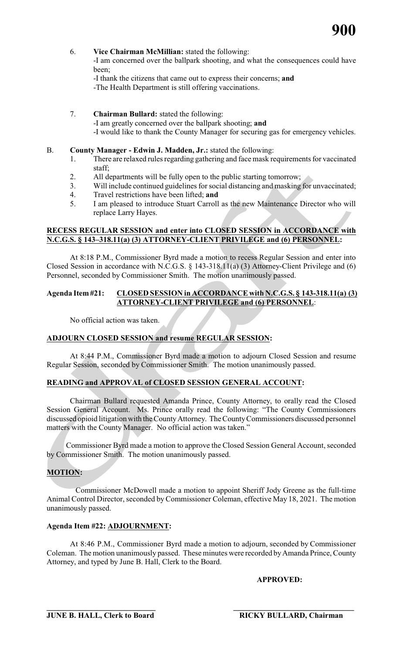

- 6. **Vice Chairman McMillian:** stated the following:
	- -I am concerned over the ballpark shooting, and what the consequences could have been;
	- -I thank the citizens that came out to express their concerns; **and**
		- -The Health Department is still offering vaccinations.
- 7. **Chairman Bullard:** stated the following: -I am greatly concerned over the ballpark shooting; **and** -I would like to thank the County Manager for securing gas for emergency vehicles.

#### B. **County Manager - Edwin J. Madden, Jr.:** stated the following:

- 1. There are relaxed rules regarding gathering and face mask requirements for vaccinated staff;
- 2. All departments will be fully open to the public starting tomorrow;
- 3. Will include continued guidelines for social distancing and masking for unvaccinated;
- 4. Travel restrictions have been lifted; **and**
- 5. I am pleased to introduce Stuart Carroll as the new Maintenance Director who will replace Larry Hayes.

# **RECESS REGULAR SESSION and enter into CLOSED SESSION in ACCORDANCE with N.C.G.S. § 143–318.11(a) (3) ATTORNEY-CLIENT PRIVILEGE and (6) PERSONNEL:**

At 8:18 P.M., Commissioner Byrd made a motion to recess Regular Session and enter into Closed Session in accordance with N.C.G.S. § 143-318.11(a) (3) Attorney-Client Privilege and (6) Personnel, seconded by Commissioner Smith. The motion unanimously passed.

## **Agenda Item #21: CLOSED SESSION in ACCORDANCE with N.C.G.S. § 143-318.11(a) (3) ATTORNEY-CLIENT PRIVILEGE and (6) PERSONNEL**:

No official action was taken.

# **ADJOURN CLOSED SESSION and resume REGULAR SESSION:**

At 8:44 P.M., Commissioner Byrd made a motion to adjourn Closed Session and resume Regular Session, seconded by Commissioner Smith. The motion unanimously passed.

# **READING and APPROVAL of CLOSED SESSION GENERAL ACCOUNT:**

Chairman Bullard requested Amanda Prince, County Attorney, to orally read the Closed Session General Account. Ms. Prince orally read the following: "The County Commissioners discussed opioid litigation with the CountyAttorney. The CountyCommissioners discussed personnel matters with the County Manager. No official action was taken."

Commissioner Byrd made a motion to approve the Closed Session General Account, seconded by Commissioner Smith. The motion unanimously passed.

# **MOTION:**

Commissioner McDowell made a motion to appoint Sheriff Jody Greene as the full-time Animal Control Director, seconded by Commissioner Coleman, effective May 18, 2021. The motion unanimously passed.

# **Agenda Item #22: ADJOURNMENT:**

 At 8:46 P.M., Commissioner Byrd made a motion to adjourn, seconded by Commissioner Coleman. The motion unanimously passed. These minutes were recorded byAmanda Prince, County Attorney, and typed by June B. Hall, Clerk to the Board.

**APPROVED:**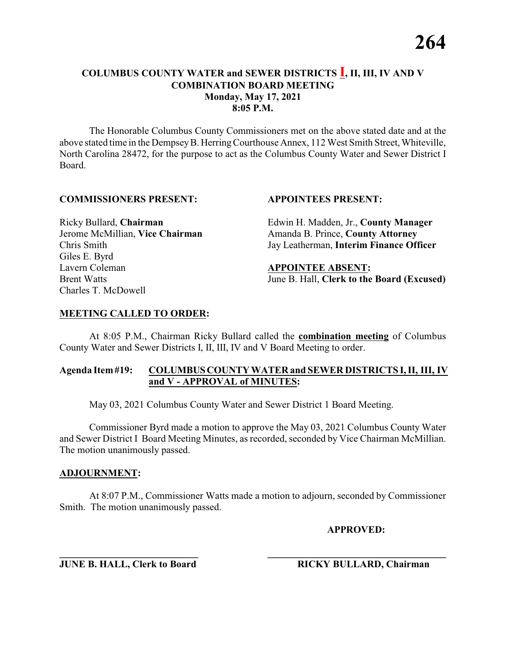The Honorable Columbus County Commissioners met on the above stated date and at the above stated time in the DempseyB. HerringCourthouse Annex, 112 West Smith Street, Whiteville, North Carolina 28472, for the purpose to act as the Columbus County Water and Sewer District I Board.

#### **COMMISSIONERS PRESENT: APPOINTEES PRESENT:**

Giles E. Byrd Lavern Coleman **APPOINTEE ABSENT:** Charles T. McDowell

Ricky Bullard, **Chairman** Edwin H. Madden, Jr., **County Manager** Jerome McMillian, **Vice Chairman** Amanda B. Prince, **County Attorney** Chris Smith Jay Leatherman, **Interim Finance Officer**

Brent Watts June B. Hall, **Clerk to the Board (Excused)**

### **MEETING CALLED TO ORDER:**

At 8:05 P.M., Chairman Ricky Bullard called the **combination meeting** of Columbus County Water and Sewer Districts I, II, III, IV and V Board Meeting to order.

### **Agenda Item#19: COLUMBUSCOUNTY WATER and SEWER DISTRICTS I, II, III, IV and V - APPROVAL of MINUTES:**

May 03, 2021 Columbus County Water and Sewer District 1 Board Meeting.

Commissioner Byrd made a motion to approve the May 03, 2021 Columbus County Water and Sewer District I Board Meeting Minutes, as recorded, seconded by Vice Chairman McMillian. The motion unanimously passed.

#### **ADJOURNMENT:**

At 8:07 P.M., Commissioner Watts made a motion to adjourn, seconded by Commissioner Smith. The motion unanimously passed.

**\_\_\_\_\_\_\_\_\_\_\_\_\_\_\_\_\_\_\_\_\_\_\_\_\_\_\_\_ \_\_\_\_\_\_\_\_\_\_\_\_\_\_\_\_\_\_\_\_\_\_\_\_\_\_\_\_\_\_\_\_\_\_\_\_**

**APPROVED:**

**JUNE B. HALL, Clerk to Board RICKY BULLARD, Chairman**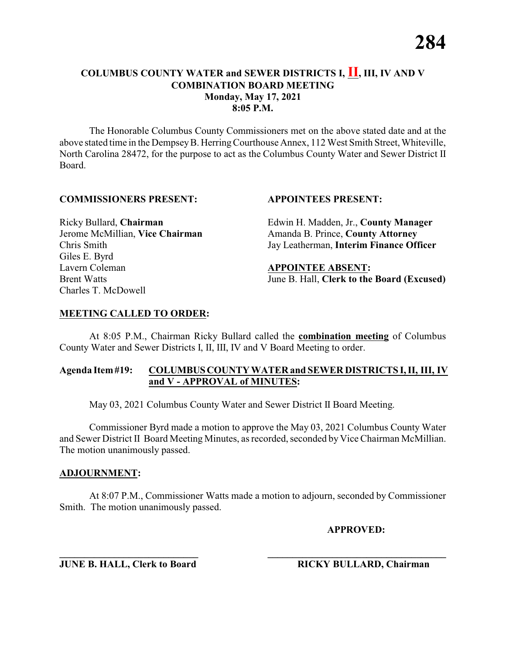The Honorable Columbus County Commissioners met on the above stated date and at the above stated time in the DempseyB. HerringCourthouse Annex, 112 West Smith Street, Whiteville, North Carolina 28472, for the purpose to act as the Columbus County Water and Sewer District II Board.

#### **COMMISSIONERS PRESENT: APPOINTEES PRESENT:**

Giles E. Byrd Lavern Coleman **APPOINTEE ABSENT:** Charles T. McDowell

Ricky Bullard, **Chairman** Edwin H. Madden, Jr., **County Manager** Jerome McMillian, **Vice Chairman** Amanda B. Prince, **County Attorney** Chris Smith Jay Leatherman, **Interim Finance Officer**

Brent Watts June B. Hall, **Clerk to the Board (Excused)**

### **MEETING CALLED TO ORDER:**

At 8:05 P.M., Chairman Ricky Bullard called the **combination meeting** of Columbus County Water and Sewer Districts I, II, III, IV and V Board Meeting to order.

### **Agenda Item#19: COLUMBUSCOUNTY WATER and SEWER DISTRICTS I, II, III, IV and V - APPROVAL of MINUTES:**

May 03, 2021 Columbus County Water and Sewer District II Board Meeting.

Commissioner Byrd made a motion to approve the May 03, 2021 Columbus County Water and Sewer District II Board Meeting Minutes, as recorded, seconded by Vice Chairman McMillian. The motion unanimously passed.

#### **ADJOURNMENT:**

At 8:07 P.M., Commissioner Watts made a motion to adjourn, seconded by Commissioner Smith. The motion unanimously passed.

**\_\_\_\_\_\_\_\_\_\_\_\_\_\_\_\_\_\_\_\_\_\_\_\_\_\_\_\_ \_\_\_\_\_\_\_\_\_\_\_\_\_\_\_\_\_\_\_\_\_\_\_\_\_\_\_\_\_\_\_\_\_\_\_\_**

**APPROVED:**

**JUNE B. HALL, Clerk to Board RICKY BULLARD, Chairman**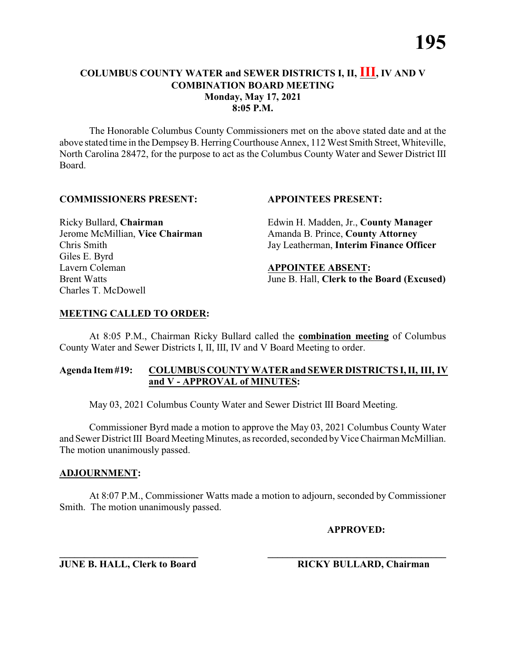The Honorable Columbus County Commissioners met on the above stated date and at the above stated time in the DempseyB. HerringCourthouse Annex, 112 West Smith Street, Whiteville, North Carolina 28472, for the purpose to act as the Columbus County Water and Sewer District III Board.

#### **COMMISSIONERS PRESENT: APPOINTEES PRESENT:**

Giles E. Byrd Lavern Coleman **APPOINTEE ABSENT:** Charles T. McDowell

Ricky Bullard, **Chairman** Edwin H. Madden, Jr., **County Manager** Jerome McMillian, Vice Chairman Amanda B. Prince, County Attorney Chris Smith Jay Leatherman, **Interim Finance Officer**

Brent Watts June B. Hall, **Clerk to the Board (Excused)**

### **MEETING CALLED TO ORDER:**

At 8:05 P.M., Chairman Ricky Bullard called the **combination meeting** of Columbus County Water and Sewer Districts I, II, III, IV and V Board Meeting to order.

### **Agenda Item#19: COLUMBUSCOUNTY WATER and SEWER DISTRICTS I, II, III, IV and V - APPROVAL of MINUTES:**

May 03, 2021 Columbus County Water and Sewer District III Board Meeting.

Commissioner Byrd made a motion to approve the May 03, 2021 Columbus County Water and Sewer District III Board Meeting Minutes, as recorded, seconded by Vice Chairman McMillian. The motion unanimously passed.

#### **ADJOURNMENT:**

At 8:07 P.M., Commissioner Watts made a motion to adjourn, seconded by Commissioner Smith. The motion unanimously passed.

**APPROVED:**

**\_\_\_\_\_\_\_\_\_\_\_\_\_\_\_\_\_\_\_\_\_\_\_\_\_\_\_\_ \_\_\_\_\_\_\_\_\_\_\_\_\_\_\_\_\_\_\_\_\_\_\_\_\_\_\_\_\_\_\_\_\_\_\_\_ JUNE B. HALL, Clerk to Board RICKY BULLARD, Chairman**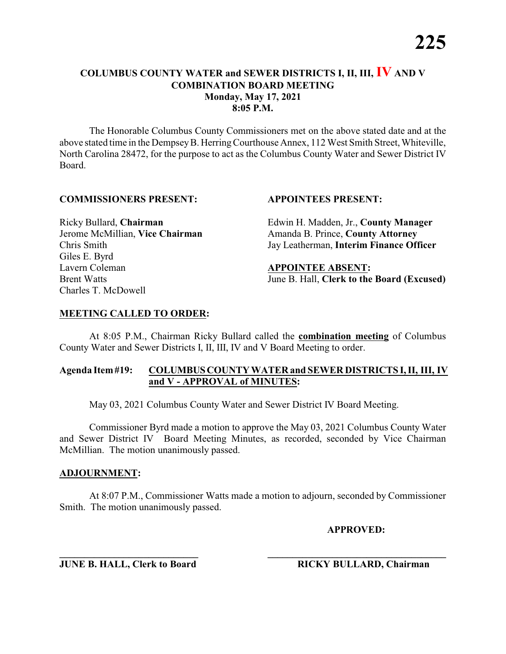The Honorable Columbus County Commissioners met on the above stated date and at the above stated time in the DempseyB. HerringCourthouse Annex, 112 West Smith Street, Whiteville, North Carolina 28472, for the purpose to act as the Columbus County Water and Sewer District IV Board.

#### **COMMISSIONERS PRESENT: APPOINTEES PRESENT:**

Giles E. Byrd Lavern Coleman **APPOINTEE ABSENT:** Charles T. McDowell

Ricky Bullard, **Chairman** Edwin H. Madden, Jr., **County Manager** Jerome McMillian, **Vice Chairman** Amanda B. Prince, **County Attorney** Chris Smith Jay Leatherman, **Interim Finance Officer**

Brent Watts June B. Hall, **Clerk to the Board (Excused)**

### **MEETING CALLED TO ORDER:**

At 8:05 P.M., Chairman Ricky Bullard called the **combination meeting** of Columbus County Water and Sewer Districts I, II, III, IV and V Board Meeting to order.

### **Agenda Item#19: COLUMBUSCOUNTY WATER and SEWER DISTRICTS I, II, III, IV and V - APPROVAL of MINUTES:**

May 03, 2021 Columbus County Water and Sewer District IV Board Meeting.

Commissioner Byrd made a motion to approve the May 03, 2021 Columbus County Water and Sewer District IV Board Meeting Minutes, as recorded, seconded by Vice Chairman McMillian. The motion unanimously passed.

#### **ADJOURNMENT:**

At 8:07 P.M., Commissioner Watts made a motion to adjourn, seconded by Commissioner Smith. The motion unanimously passed.

**APPROVED:**

**\_\_\_\_\_\_\_\_\_\_\_\_\_\_\_\_\_\_\_\_\_\_\_\_\_\_\_\_ \_\_\_\_\_\_\_\_\_\_\_\_\_\_\_\_\_\_\_\_\_\_\_\_\_\_\_\_\_\_\_\_\_\_\_\_ JUNE B. HALL, Clerk to Board RICKY BULLARD, Chairman**